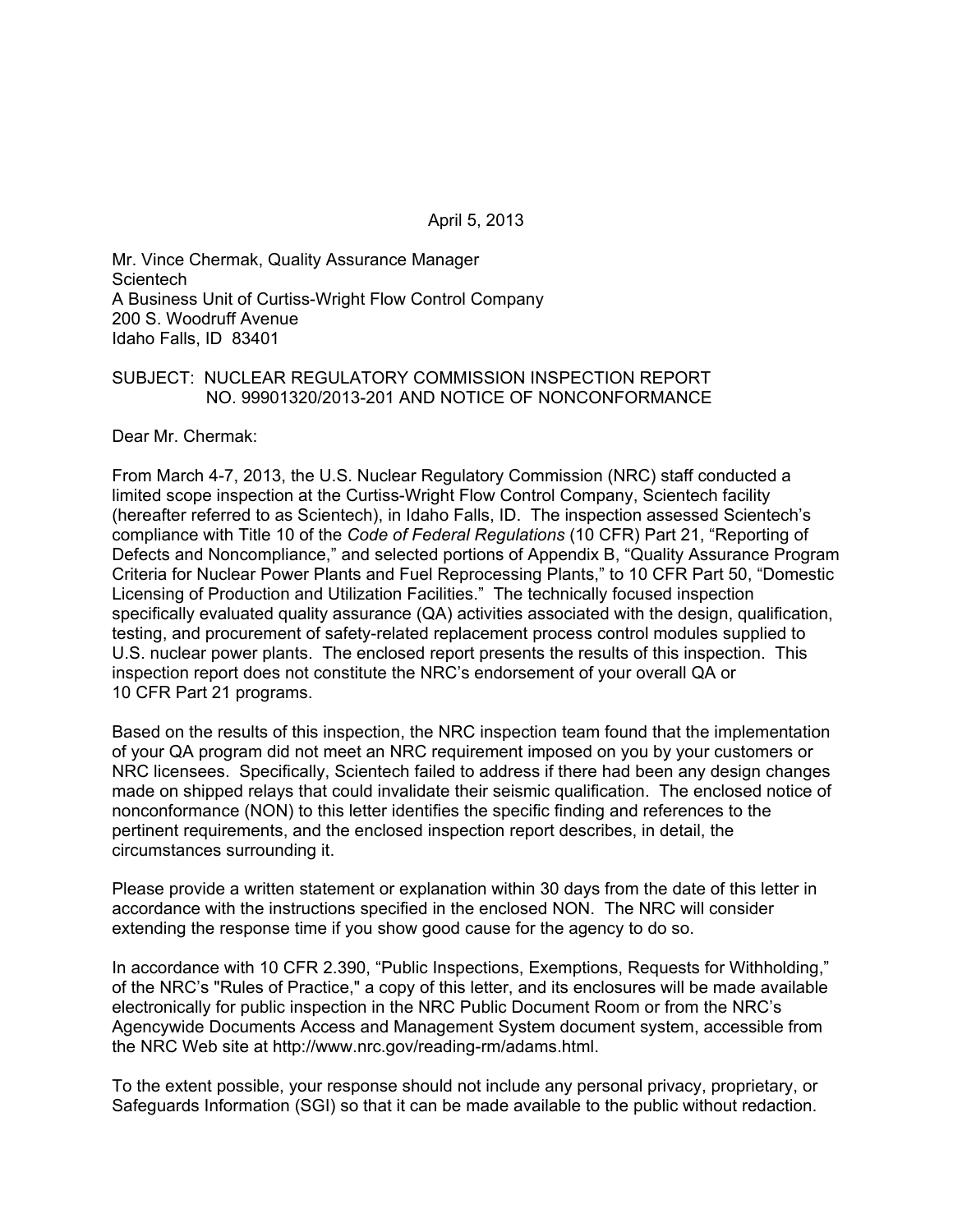April 5, 2013

Mr. Vince Chermak, Quality Assurance Manager **Scientech** A Business Unit of Curtiss-Wright Flow Control Company 200 S. Woodruff Avenue Idaho Falls, ID 83401

#### SUBJECT: NUCLEAR REGULATORY COMMISSION INSPECTION REPORT NO. 99901320/2013-201 AND NOTICE OF NONCONFORMANCE

Dear Mr. Chermak:

From March 4-7, 2013, the U.S. Nuclear Regulatory Commission (NRC) staff conducted a limited scope inspection at the Curtiss-Wright Flow Control Company, Scientech facility (hereafter referred to as Scientech), in Idaho Falls, ID. The inspection assessed Scientech's compliance with Title 10 of the *Code of Federal Regulations* (10 CFR) Part 21, "Reporting of Defects and Noncompliance," and selected portions of Appendix B, "Quality Assurance Program Criteria for Nuclear Power Plants and Fuel Reprocessing Plants," to 10 CFR Part 50, "Domestic Licensing of Production and Utilization Facilities." The technically focused inspection specifically evaluated quality assurance (QA) activities associated with the design, qualification, testing, and procurement of safety-related replacement process control modules supplied to U.S. nuclear power plants. The enclosed report presents the results of this inspection. This inspection report does not constitute the NRC's endorsement of your overall QA or 10 CFR Part 21 programs.

Based on the results of this inspection, the NRC inspection team found that the implementation of your QA program did not meet an NRC requirement imposed on you by your customers or NRC licensees. Specifically, Scientech failed to address if there had been any design changes made on shipped relays that could invalidate their seismic qualification. The enclosed notice of nonconformance (NON) to this letter identifies the specific finding and references to the pertinent requirements, and the enclosed inspection report describes, in detail, the circumstances surrounding it.

Please provide a written statement or explanation within 30 days from the date of this letter in accordance with the instructions specified in the enclosed NON. The NRC will consider extending the response time if you show good cause for the agency to do so.

In accordance with 10 CFR 2.390, "Public Inspections, Exemptions, Requests for Withholding," of the NRC's "Rules of Practice," a copy of this letter, and its enclosures will be made available electronically for public inspection in the NRC Public Document Room or from the NRC's Agencywide Documents Access and Management System document system, accessible from the NRC Web site at http://www.nrc.gov/reading-rm/adams.html.

To the extent possible, your response should not include any personal privacy, proprietary, or Safeguards Information (SGI) so that it can be made available to the public without redaction.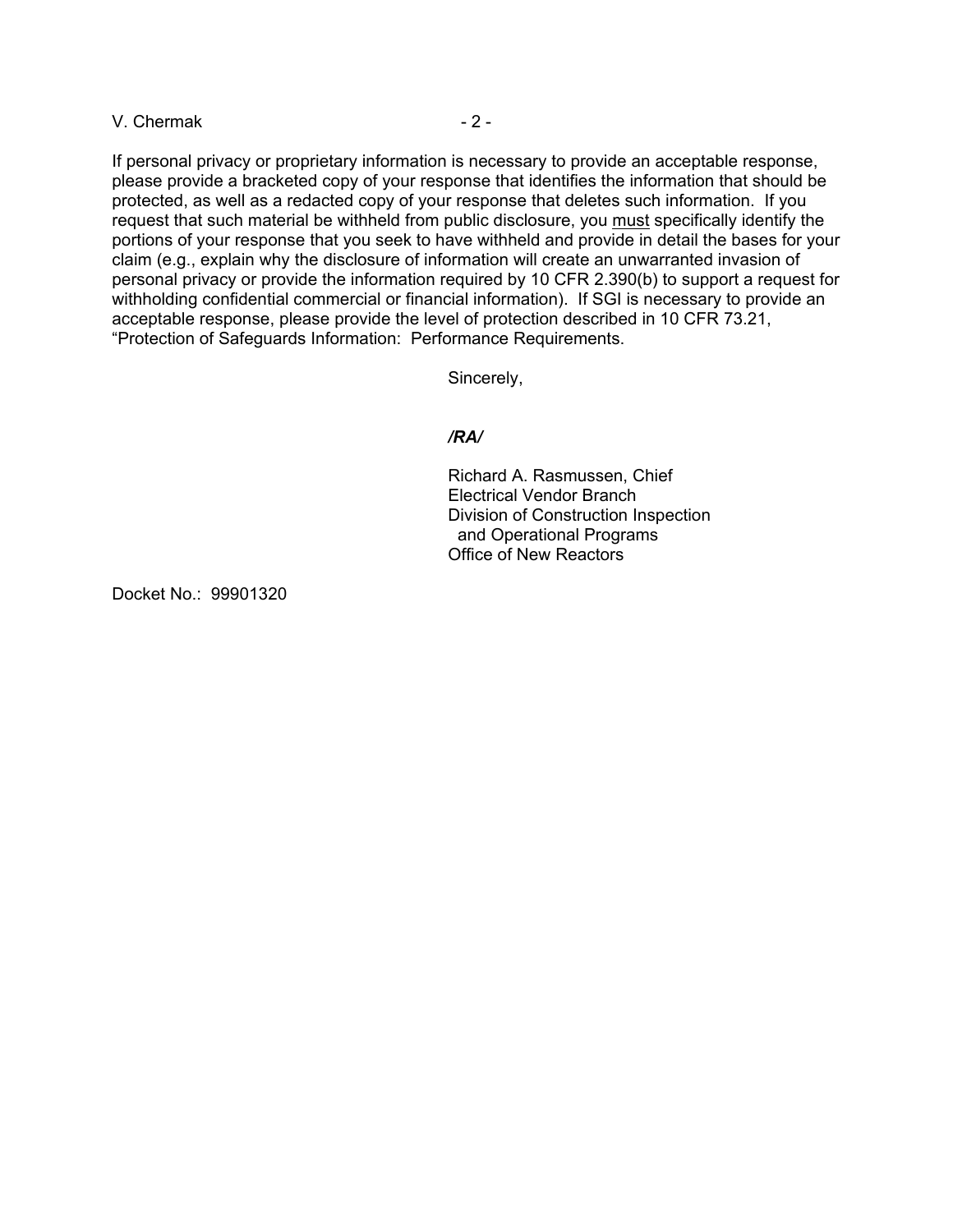$V.$  Chermak  $-2-$ 

If personal privacy or proprietary information is necessary to provide an acceptable response, please provide a bracketed copy of your response that identifies the information that should be protected, as well as a redacted copy of your response that deletes such information. If you request that such material be withheld from public disclosure, you must specifically identify the portions of your response that you seek to have withheld and provide in detail the bases for your claim (e.g., explain why the disclosure of information will create an unwarranted invasion of personal privacy or provide the information required by 10 CFR 2.390(b) to support a request for withholding confidential commercial or financial information). If SGI is necessary to provide an acceptable response, please provide the level of protection described in 10 CFR 73.21, "Protection of Safeguards Information: Performance Requirements.

Sincerely,

### */RA/*

Richard A. Rasmussen, Chief Electrical Vendor Branch Division of Construction Inspection and Operational Programs Office of New Reactors

Docket No.: 99901320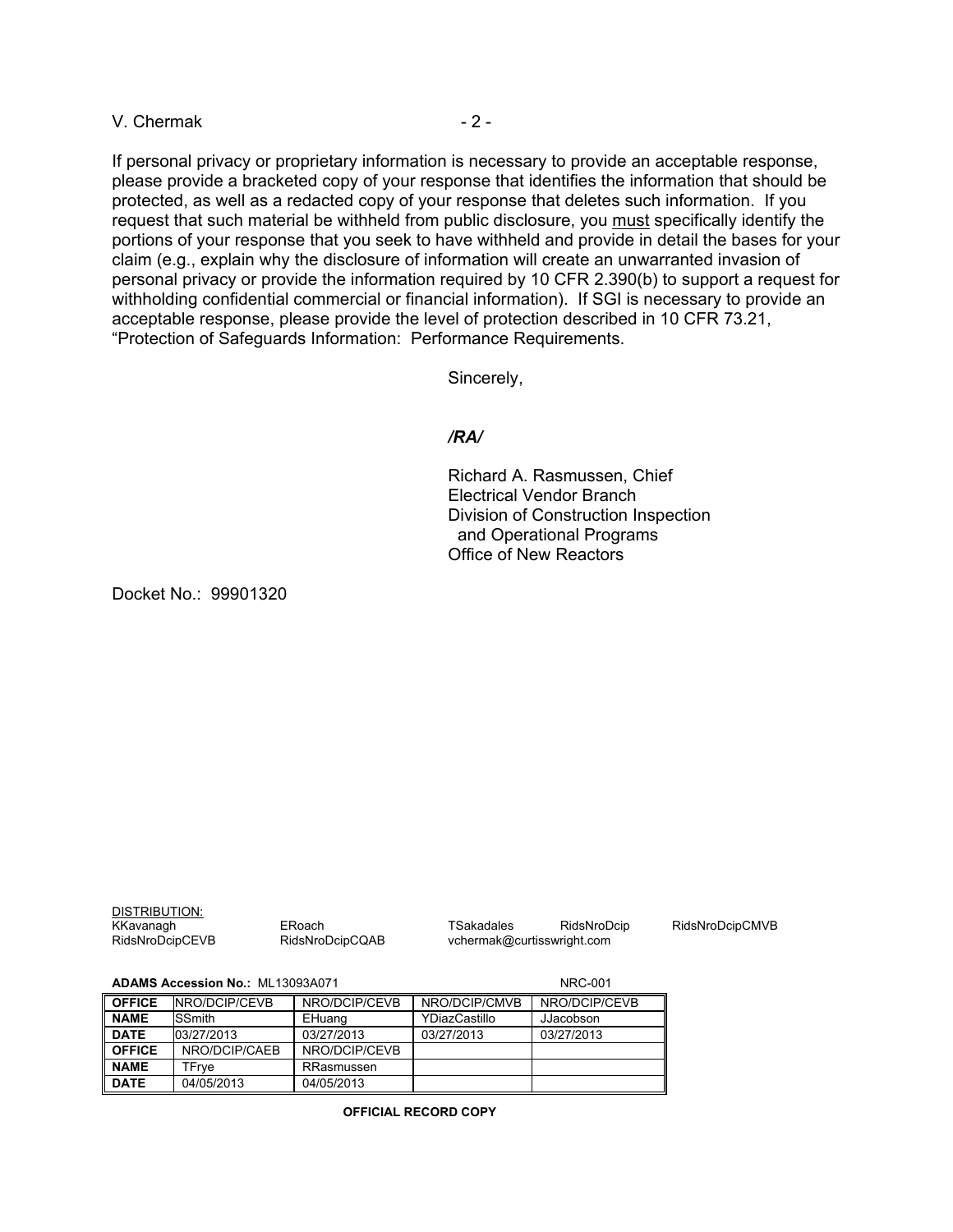V. Chermak - 2 -

If personal privacy or proprietary information is necessary to provide an acceptable response, please provide a bracketed copy of your response that identifies the information that should be protected, as well as a redacted copy of your response that deletes such information. If you request that such material be withheld from public disclosure, you must specifically identify the portions of your response that you seek to have withheld and provide in detail the bases for your claim (e.g., explain why the disclosure of information will create an unwarranted invasion of personal privacy or provide the information required by 10 CFR 2.390(b) to support a request for withholding confidential commercial or financial information). If SGI is necessary to provide an acceptable response, please provide the level of protection described in 10 CFR 73.21, "Protection of Safeguards Information: Performance Requirements.

Sincerely,

### */RA/*

Richard A. Rasmussen, Chief Electrical Vendor Branch Division of Construction Inspection and Operational Programs Office of New Reactors

Docket No.: 99901320

| DISTRIBUTION:   |                 |
|-----------------|-----------------|
| KKavanagh       | ER <sub>0</sub> |
| RidsNroDcipCEVB | Rid             |

oach TSakadales RidsNroDcip RidsNroDcipCMVB<br>SNroDcipCQAB vchermak@curtisswright.com vchermak@curtisswright.com

#### **ADAMS Accession No.:** ML13093A071 NRC-001

| <b>OFFICE</b> | <b>INRO/DCIP/CEVB</b> | NRO/DCIP/CEVB | NRO/DCIP/CMVB | NRO/DCIP/CEVB |
|---------------|-----------------------|---------------|---------------|---------------|
| <b>NAME</b>   | <b>SSmith</b>         | EHuang        | YDiazCastillo | JJacobson     |
| <b>DATE</b>   | 03/27/2013            | 03/27/2013    | 03/27/2013    | 03/27/2013    |
| <b>OFFICE</b> | NRO/DCIP/CAEB         | NRO/DCIP/CEVB |               |               |
| <b>NAME</b>   | TFrve                 | RRasmussen    |               |               |
| <b>DATE</b>   | 04/05/2013            | 04/05/2013    |               |               |

**OFFICIAL RECORD COPY**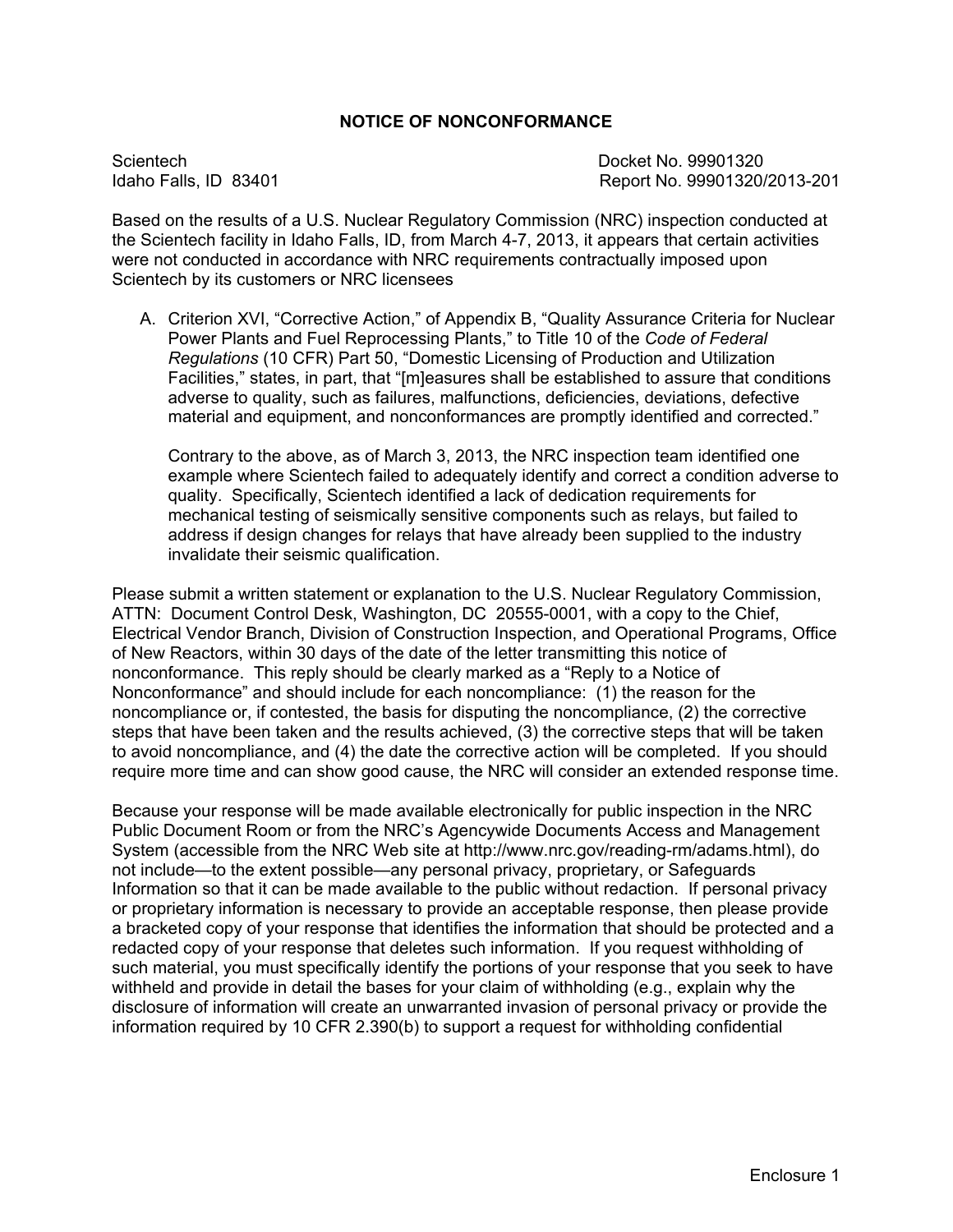# **NOTICE OF NONCONFORMANCE**

Scientech Docket No. 99901320

Report No. 99901320/2013-201

Based on the results of a U.S. Nuclear Regulatory Commission (NRC) inspection conducted at the Scientech facility in Idaho Falls, ID, from March 4-7, 2013, it appears that certain activities were not conducted in accordance with NRC requirements contractually imposed upon Scientech by its customers or NRC licensees

A. Criterion XVI, "Corrective Action," of Appendix B, "Quality Assurance Criteria for Nuclear Power Plants and Fuel Reprocessing Plants," to Title 10 of the *Code of Federal Regulations* (10 CFR) Part 50, "Domestic Licensing of Production and Utilization Facilities," states, in part, that "[m]easures shall be established to assure that conditions adverse to quality, such as failures, malfunctions, deficiencies, deviations, defective material and equipment, and nonconformances are promptly identified and corrected."

Contrary to the above, as of March 3, 2013, the NRC inspection team identified one example where Scientech failed to adequately identify and correct a condition adverse to quality. Specifically, Scientech identified a lack of dedication requirements for mechanical testing of seismically sensitive components such as relays, but failed to address if design changes for relays that have already been supplied to the industry invalidate their seismic qualification.

Please submit a written statement or explanation to the U.S. Nuclear Regulatory Commission, ATTN: Document Control Desk, Washington, DC 20555-0001, with a copy to the Chief, Electrical Vendor Branch, Division of Construction Inspection, and Operational Programs, Office of New Reactors, within 30 days of the date of the letter transmitting this notice of nonconformance. This reply should be clearly marked as a "Reply to a Notice of Nonconformance" and should include for each noncompliance: (1) the reason for the noncompliance or, if contested, the basis for disputing the noncompliance, (2) the corrective steps that have been taken and the results achieved, (3) the corrective steps that will be taken to avoid noncompliance, and (4) the date the corrective action will be completed. If you should require more time and can show good cause, the NRC will consider an extended response time.

Because your response will be made available electronically for public inspection in the NRC Public Document Room or from the NRC's Agencywide Documents Access and Management System (accessible from the NRC Web site at http://www.nrc.gov/reading-rm/adams.html), do not include—to the extent possible—any personal privacy, proprietary, or Safeguards Information so that it can be made available to the public without redaction. If personal privacy or proprietary information is necessary to provide an acceptable response, then please provide a bracketed copy of your response that identifies the information that should be protected and a redacted copy of your response that deletes such information. If you request withholding of such material, you must specifically identify the portions of your response that you seek to have withheld and provide in detail the bases for your claim of withholding (e.g., explain why the disclosure of information will create an unwarranted invasion of personal privacy or provide the information required by 10 CFR 2.390(b) to support a request for withholding confidential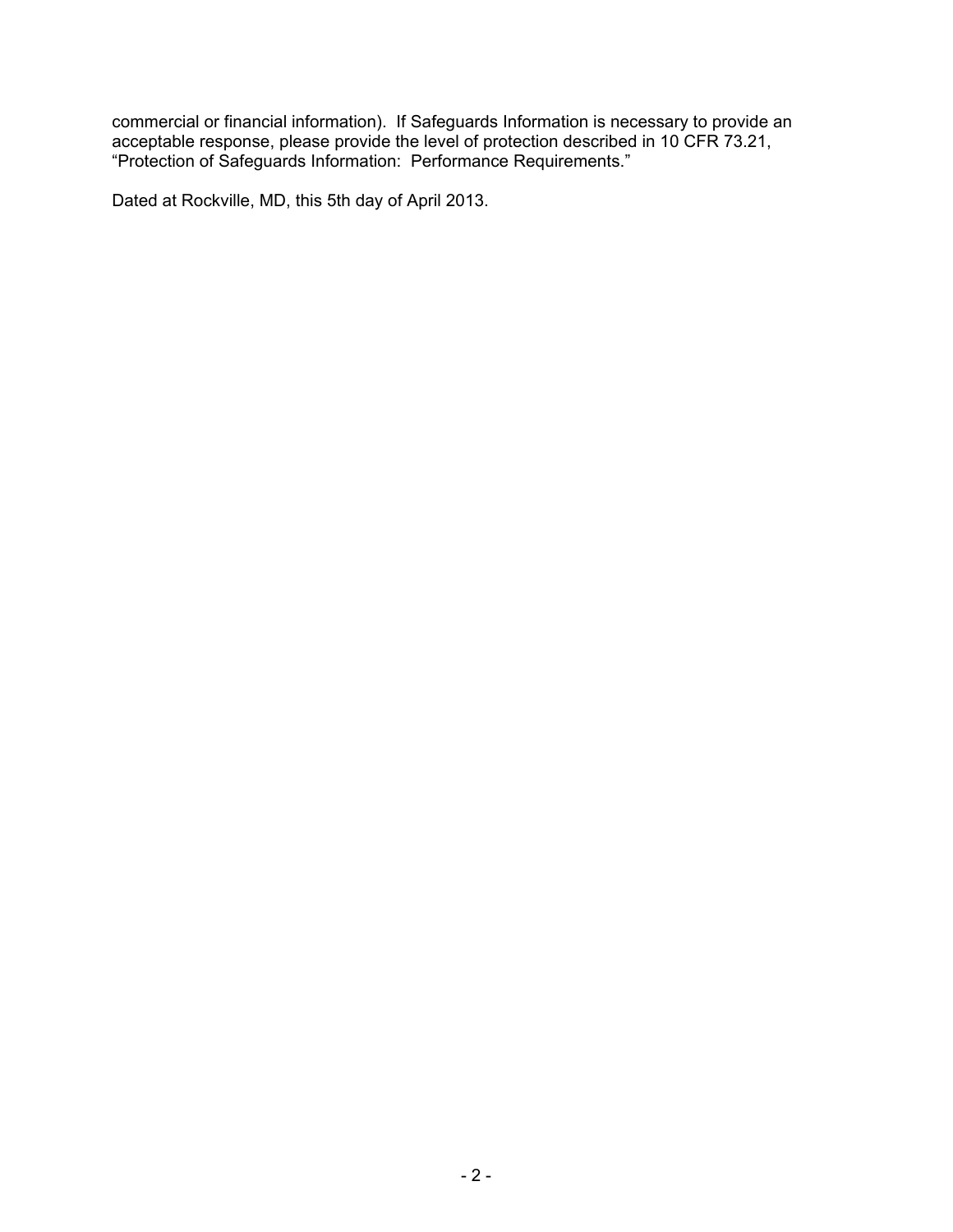commercial or financial information). If Safeguards Information is necessary to provide an acceptable response, please provide the level of protection described in 10 CFR 73.21, "Protection of Safeguards Information: Performance Requirements."

Dated at Rockville, MD, this 5th day of April 2013.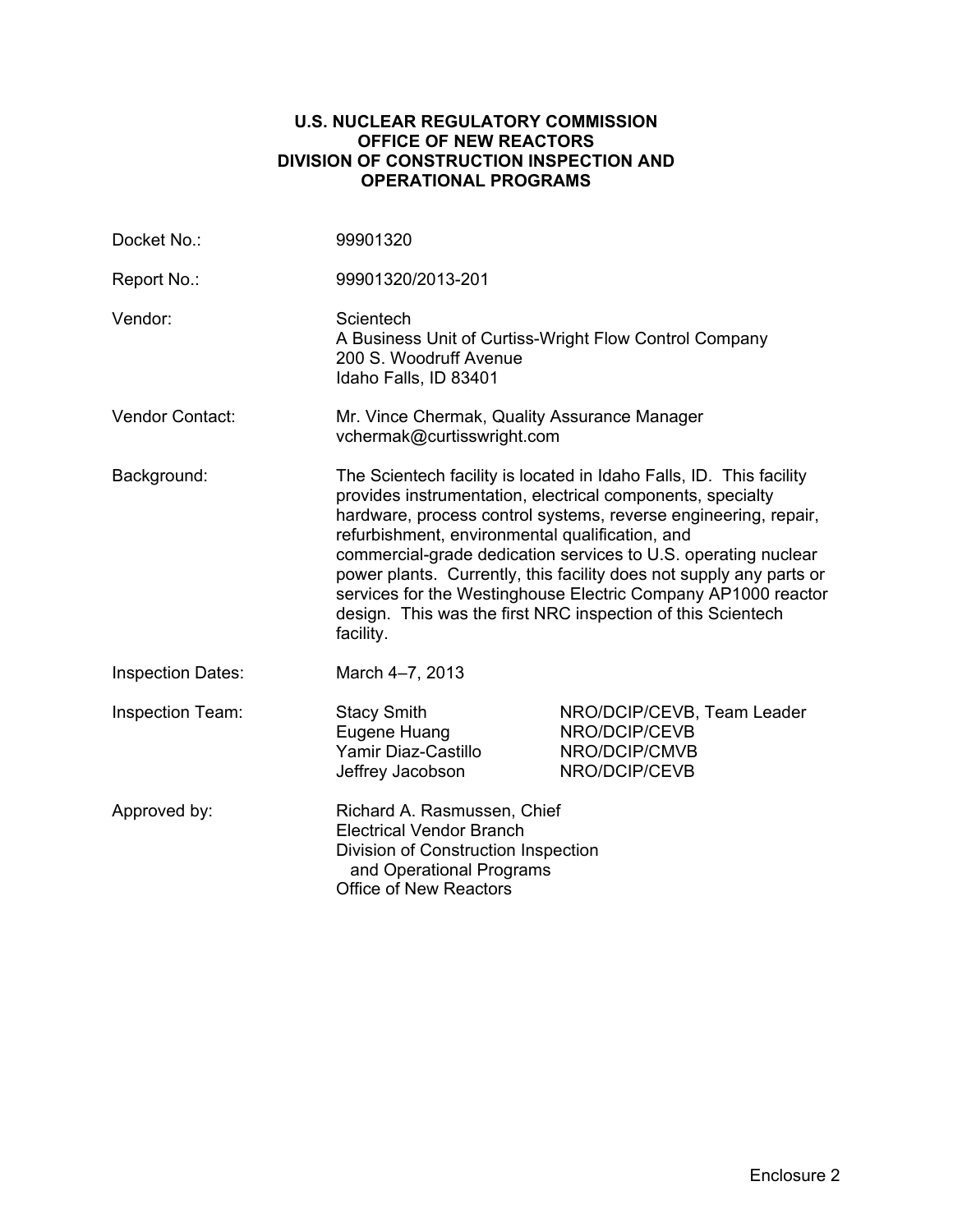### **U.S. NUCLEAR REGULATORY COMMISSION OFFICE OF NEW REACTORS DIVISION OF CONSTRUCTION INSPECTION AND OPERATIONAL PROGRAMS**

| Docket No.:              | 99901320                                                                                                                                                                                                                                                                                                                                                                                                                                                                                                                                      |                                                                               |  |
|--------------------------|-----------------------------------------------------------------------------------------------------------------------------------------------------------------------------------------------------------------------------------------------------------------------------------------------------------------------------------------------------------------------------------------------------------------------------------------------------------------------------------------------------------------------------------------------|-------------------------------------------------------------------------------|--|
| Report No.:              | 99901320/2013-201                                                                                                                                                                                                                                                                                                                                                                                                                                                                                                                             |                                                                               |  |
| Vendor:                  | Scientech<br>A Business Unit of Curtiss-Wright Flow Control Company<br>200 S. Woodruff Avenue<br>Idaho Falls, ID 83401                                                                                                                                                                                                                                                                                                                                                                                                                        |                                                                               |  |
| Vendor Contact:          | Mr. Vince Chermak, Quality Assurance Manager<br>vchermak@curtisswright.com                                                                                                                                                                                                                                                                                                                                                                                                                                                                    |                                                                               |  |
| Background:              | The Scientech facility is located in Idaho Falls, ID. This facility<br>provides instrumentation, electrical components, specialty<br>hardware, process control systems, reverse engineering, repair,<br>refurbishment, environmental qualification, and<br>commercial-grade dedication services to U.S. operating nuclear<br>power plants. Currently, this facility does not supply any parts or<br>services for the Westinghouse Electric Company AP1000 reactor<br>design. This was the first NRC inspection of this Scientech<br>facility. |                                                                               |  |
| <b>Inspection Dates:</b> | March 4-7, 2013                                                                                                                                                                                                                                                                                                                                                                                                                                                                                                                               |                                                                               |  |
| Inspection Team:         | <b>Stacy Smith</b><br>Eugene Huang<br>Yamir Diaz-Castillo<br>Jeffrey Jacobson                                                                                                                                                                                                                                                                                                                                                                                                                                                                 | NRO/DCIP/CEVB, Team Leader<br>NRO/DCIP/CEVB<br>NRO/DCIP/CMVB<br>NRO/DCIP/CEVB |  |
| Approved by:             | Richard A. Rasmussen, Chief<br><b>Electrical Vendor Branch</b><br>Division of Construction Inspection<br>and Operational Programs<br><b>Office of New Reactors</b>                                                                                                                                                                                                                                                                                                                                                                            |                                                                               |  |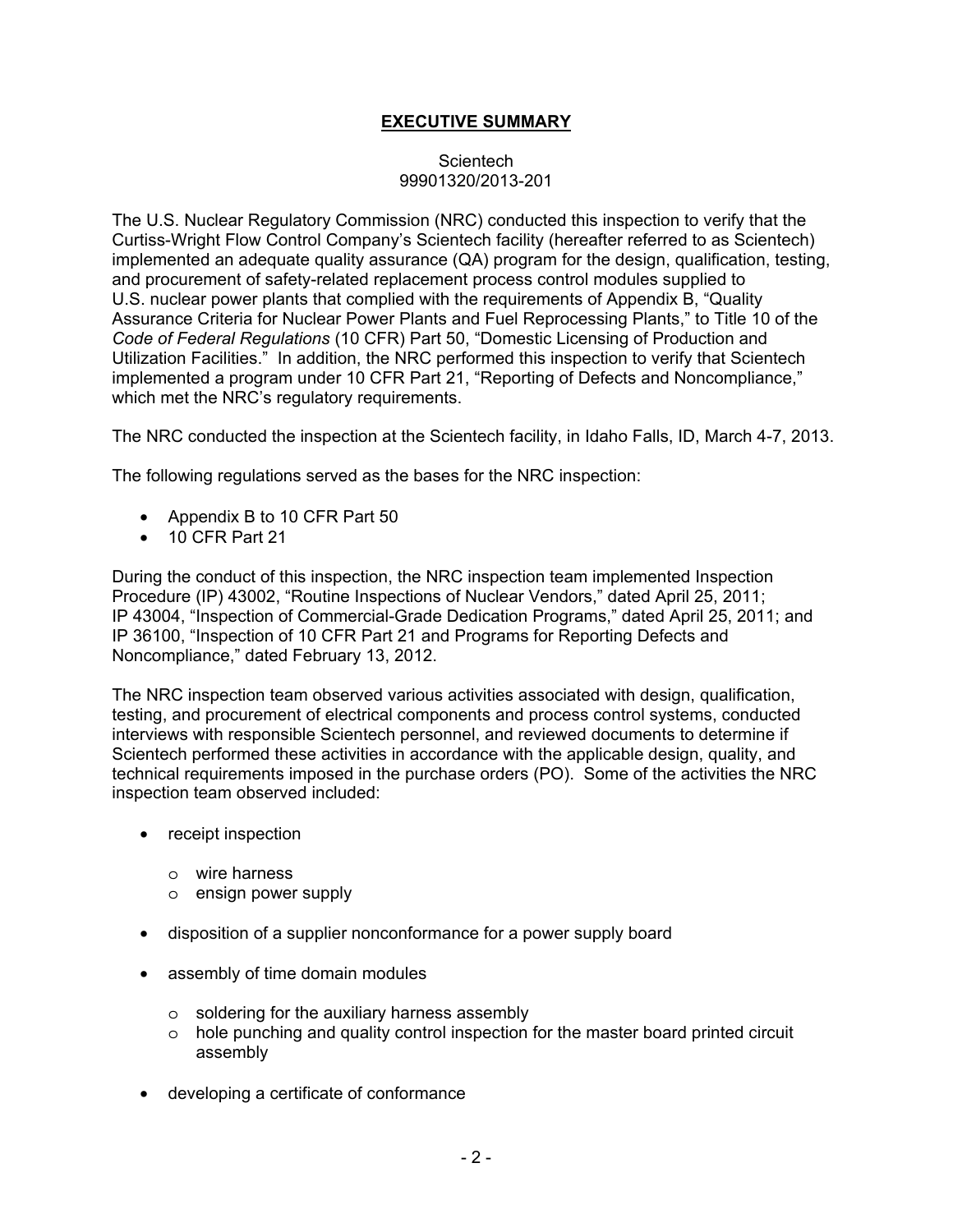# **EXECUTIVE SUMMARY**

### Scientech 99901320/2013-201

The U.S. Nuclear Regulatory Commission (NRC) conducted this inspection to verify that the Curtiss-Wright Flow Control Company's Scientech facility (hereafter referred to as Scientech) implemented an adequate quality assurance (QA) program for the design, qualification, testing, and procurement of safety-related replacement process control modules supplied to U.S. nuclear power plants that complied with the requirements of Appendix B, "Quality Assurance Criteria for Nuclear Power Plants and Fuel Reprocessing Plants," to Title 10 of the *Code of Federal Regulations* (10 CFR) Part 50, "Domestic Licensing of Production and Utilization Facilities." In addition, the NRC performed this inspection to verify that Scientech implemented a program under 10 CFR Part 21, "Reporting of Defects and Noncompliance," which met the NRC's regulatory requirements.

The NRC conducted the inspection at the Scientech facility, in Idaho Falls, ID, March 4-7, 2013.

The following regulations served as the bases for the NRC inspection:

- Appendix B to 10 CFR Part 50
- 10 CFR Part 21

During the conduct of this inspection, the NRC inspection team implemented Inspection Procedure (IP) 43002, "Routine Inspections of Nuclear Vendors," dated April 25, 2011; IP 43004, "Inspection of Commercial-Grade Dedication Programs," dated April 25, 2011; and IP 36100, "Inspection of 10 CFR Part 21 and Programs for Reporting Defects and Noncompliance," dated February 13, 2012.

The NRC inspection team observed various activities associated with design, qualification, testing, and procurement of electrical components and process control systems, conducted interviews with responsible Scientech personnel, and reviewed documents to determine if Scientech performed these activities in accordance with the applicable design, quality, and technical requirements imposed in the purchase orders (PO). Some of the activities the NRC inspection team observed included:

- receipt inspection
	- o wire harness
	- o ensign power supply
- disposition of a supplier nonconformance for a power supply board
- assembly of time domain modules
	- o soldering for the auxiliary harness assembly
	- $\circ$  hole punching and quality control inspection for the master board printed circuit assembly
- developing a certificate of conformance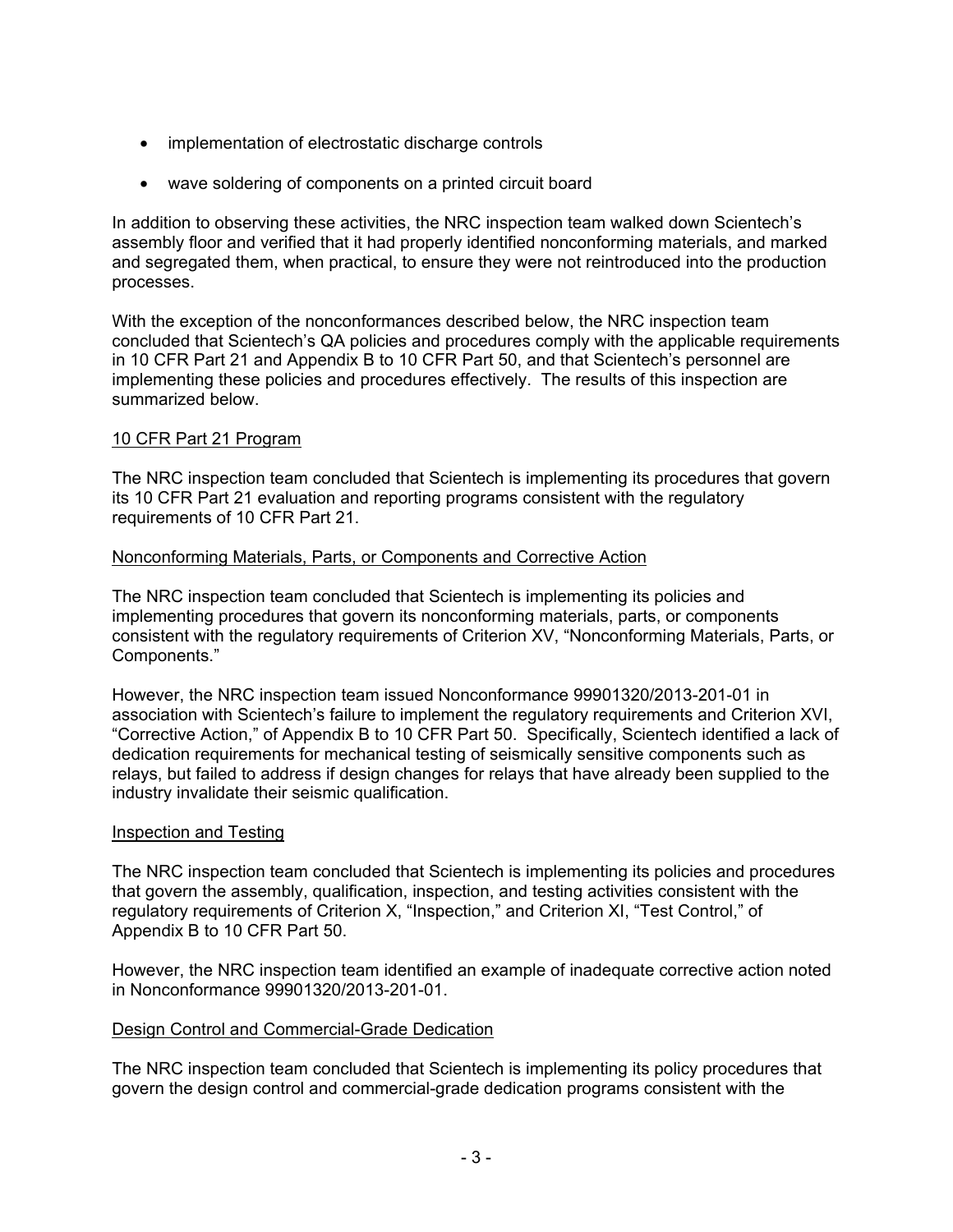- implementation of electrostatic discharge controls
- wave soldering of components on a printed circuit board

In addition to observing these activities, the NRC inspection team walked down Scientech's assembly floor and verified that it had properly identified nonconforming materials, and marked and segregated them, when practical, to ensure they were not reintroduced into the production processes.

With the exception of the nonconformances described below, the NRC inspection team concluded that Scientech's QA policies and procedures comply with the applicable requirements in 10 CFR Part 21 and Appendix B to 10 CFR Part 50, and that Scientech's personnel are implementing these policies and procedures effectively. The results of this inspection are summarized below.

# 10 CFR Part 21 Program

The NRC inspection team concluded that Scientech is implementing its procedures that govern its 10 CFR Part 21 evaluation and reporting programs consistent with the regulatory requirements of 10 CFR Part 21.

# Nonconforming Materials, Parts, or Components and Corrective Action

The NRC inspection team concluded that Scientech is implementing its policies and implementing procedures that govern its nonconforming materials, parts, or components consistent with the regulatory requirements of Criterion XV, "Nonconforming Materials, Parts, or Components."

However, the NRC inspection team issued Nonconformance 99901320/2013-201-01 in association with Scientech's failure to implement the regulatory requirements and Criterion XVI, "Corrective Action," of Appendix B to 10 CFR Part 50. Specifically, Scientech identified a lack of dedication requirements for mechanical testing of seismically sensitive components such as relays, but failed to address if design changes for relays that have already been supplied to the industry invalidate their seismic qualification.

#### Inspection and Testing

The NRC inspection team concluded that Scientech is implementing its policies and procedures that govern the assembly, qualification, inspection, and testing activities consistent with the regulatory requirements of Criterion X, "Inspection," and Criterion XI, "Test Control," of Appendix B to 10 CFR Part 50.

However, the NRC inspection team identified an example of inadequate corrective action noted in Nonconformance 99901320/2013-201-01.

#### Design Control and Commercial-Grade Dedication

The NRC inspection team concluded that Scientech is implementing its policy procedures that govern the design control and commercial-grade dedication programs consistent with the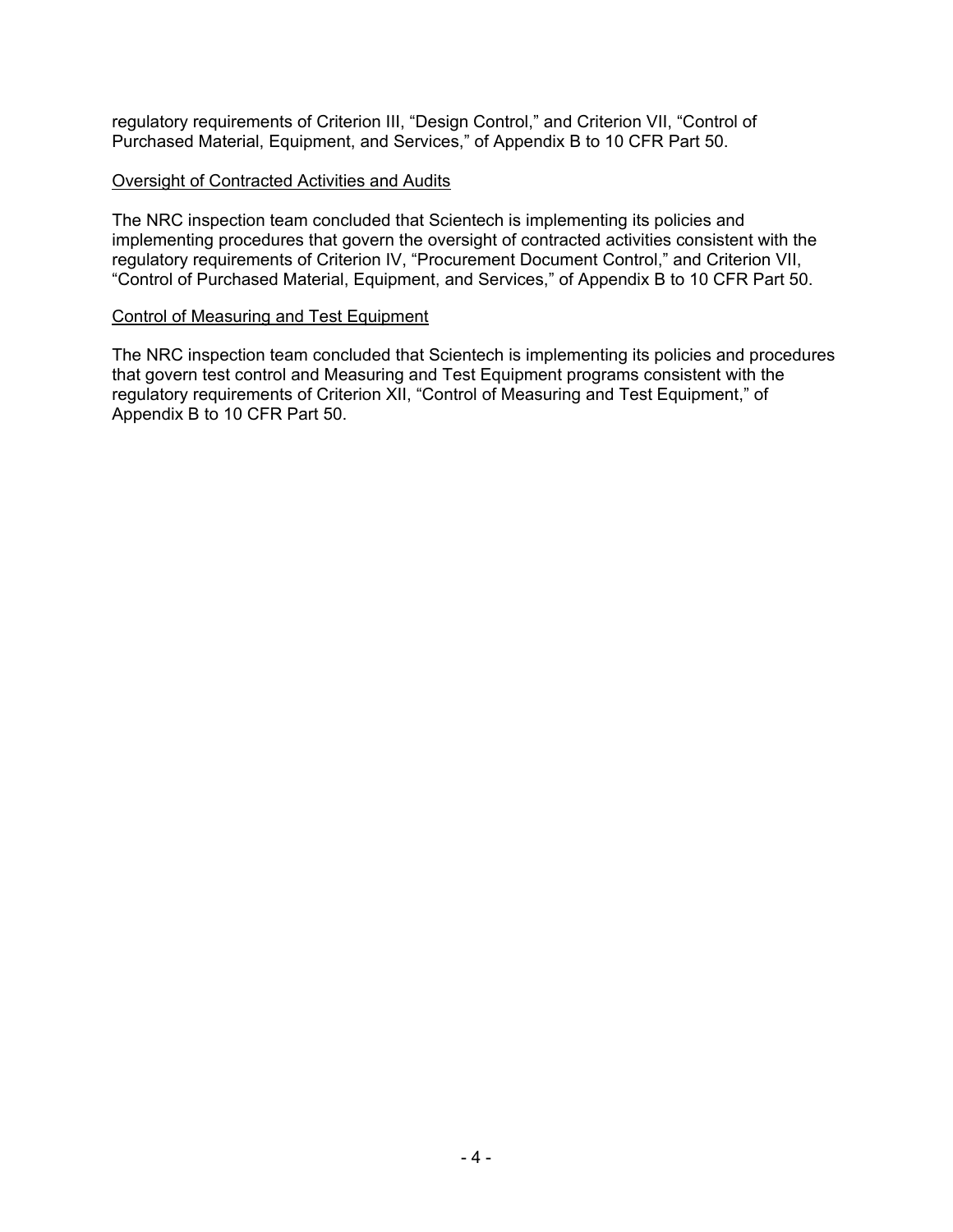regulatory requirements of Criterion III, "Design Control," and Criterion VII, "Control of Purchased Material, Equipment, and Services," of Appendix B to 10 CFR Part 50.

### Oversight of Contracted Activities and Audits

The NRC inspection team concluded that Scientech is implementing its policies and implementing procedures that govern the oversight of contracted activities consistent with the regulatory requirements of Criterion IV, "Procurement Document Control," and Criterion VII, "Control of Purchased Material, Equipment, and Services," of Appendix B to 10 CFR Part 50.

### Control of Measuring and Test Equipment

The NRC inspection team concluded that Scientech is implementing its policies and procedures that govern test control and Measuring and Test Equipment programs consistent with the regulatory requirements of Criterion XII, "Control of Measuring and Test Equipment," of Appendix B to 10 CFR Part 50.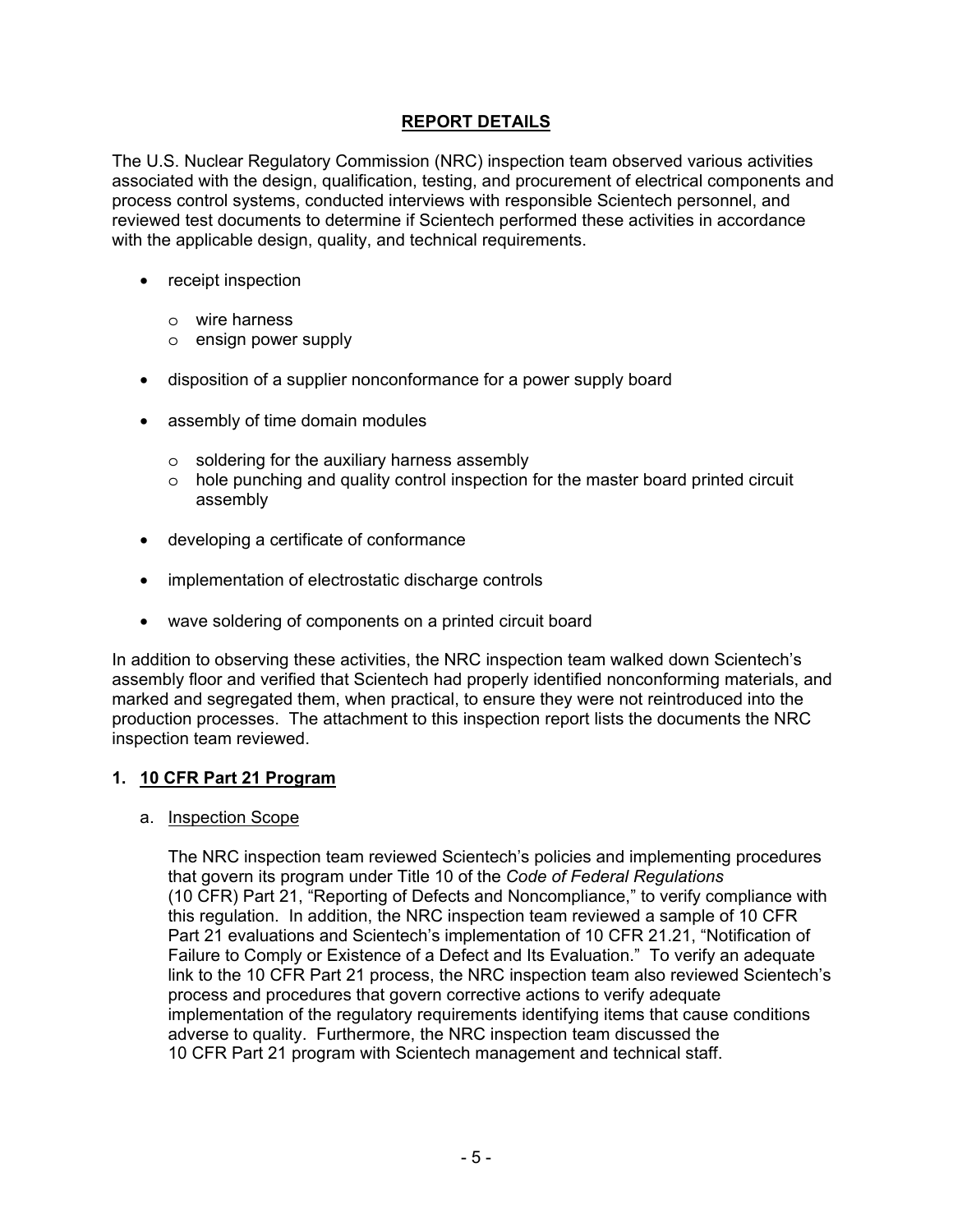# **REPORT DETAILS**

The U.S. Nuclear Regulatory Commission (NRC) inspection team observed various activities associated with the design, qualification, testing, and procurement of electrical components and process control systems, conducted interviews with responsible Scientech personnel, and reviewed test documents to determine if Scientech performed these activities in accordance with the applicable design, quality, and technical requirements.

- receipt inspection
	- o wire harness
	- o ensign power supply
- disposition of a supplier nonconformance for a power supply board
- assembly of time domain modules
	- o soldering for the auxiliary harness assembly
	- o hole punching and quality control inspection for the master board printed circuit assembly
- developing a certificate of conformance
- implementation of electrostatic discharge controls
- wave soldering of components on a printed circuit board

In addition to observing these activities, the NRC inspection team walked down Scientech's assembly floor and verified that Scientech had properly identified nonconforming materials, and marked and segregated them, when practical, to ensure they were not reintroduced into the production processes. The attachment to this inspection report lists the documents the NRC inspection team reviewed.

# **1. 10 CFR Part 21 Program**

#### a. Inspection Scope

The NRC inspection team reviewed Scientech's policies and implementing procedures that govern its program under Title 10 of the *Code of Federal Regulations* (10 CFR) Part 21, "Reporting of Defects and Noncompliance," to verify compliance with this regulation. In addition, the NRC inspection team reviewed a sample of 10 CFR Part 21 evaluations and Scientech's implementation of 10 CFR 21.21, "Notification of Failure to Comply or Existence of a Defect and Its Evaluation." To verify an adequate link to the 10 CFR Part 21 process, the NRC inspection team also reviewed Scientech's process and procedures that govern corrective actions to verify adequate implementation of the regulatory requirements identifying items that cause conditions adverse to quality. Furthermore, the NRC inspection team discussed the 10 CFR Part 21 program with Scientech management and technical staff.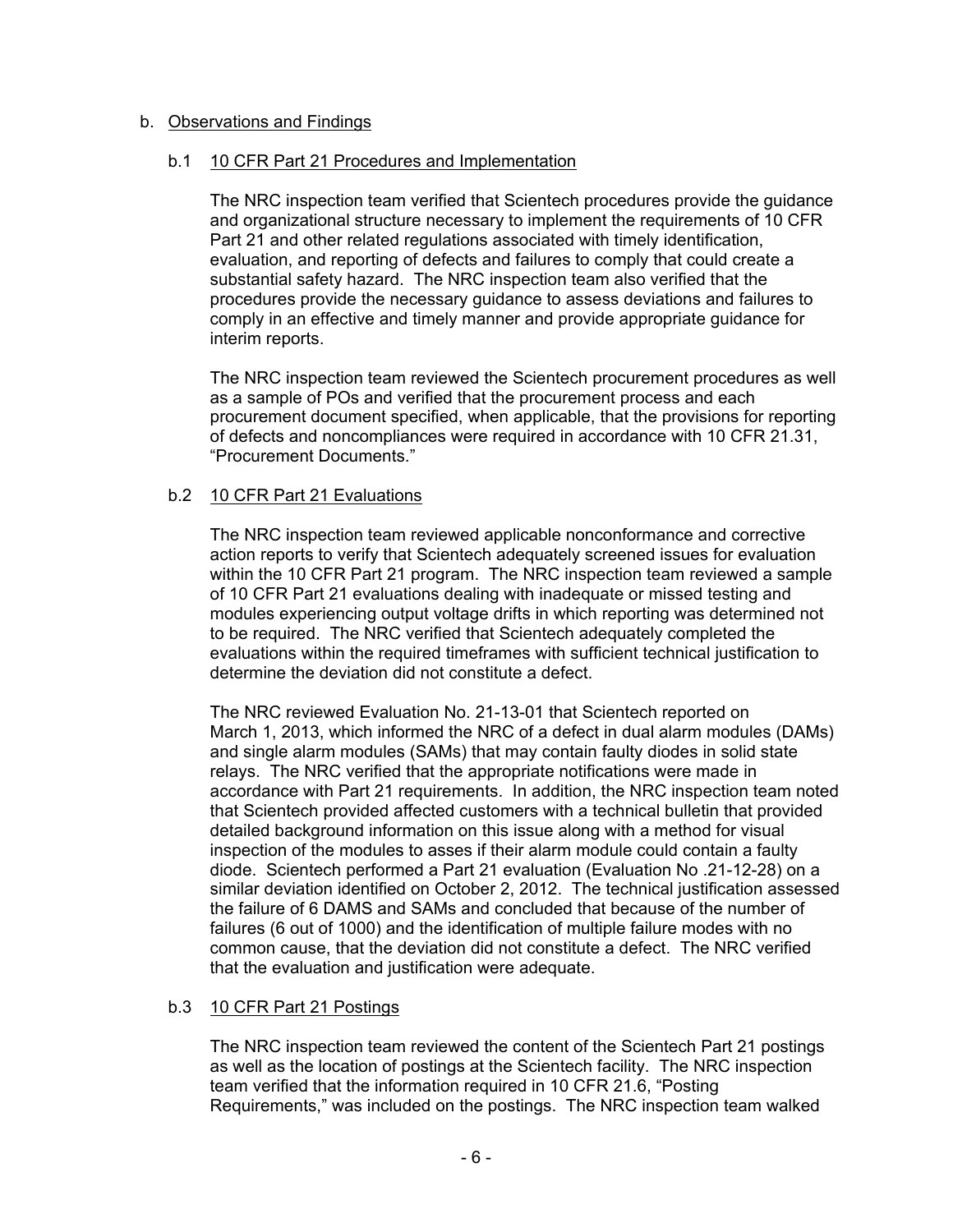# b. Observations and Findings

### b.1 10 CFR Part 21 Procedures and Implementation

The NRC inspection team verified that Scientech procedures provide the guidance and organizational structure necessary to implement the requirements of 10 CFR Part 21 and other related regulations associated with timely identification, evaluation, and reporting of defects and failures to comply that could create a substantial safety hazard. The NRC inspection team also verified that the procedures provide the necessary guidance to assess deviations and failures to comply in an effective and timely manner and provide appropriate guidance for interim reports.

The NRC inspection team reviewed the Scientech procurement procedures as well as a sample of POs and verified that the procurement process and each procurement document specified, when applicable, that the provisions for reporting of defects and noncompliances were required in accordance with 10 CFR 21.31, "Procurement Documents."

# b.2 10 CFR Part 21 Evaluations

The NRC inspection team reviewed applicable nonconformance and corrective action reports to verify that Scientech adequately screened issues for evaluation within the 10 CFR Part 21 program. The NRC inspection team reviewed a sample of 10 CFR Part 21 evaluations dealing with inadequate or missed testing and modules experiencing output voltage drifts in which reporting was determined not to be required. The NRC verified that Scientech adequately completed the evaluations within the required timeframes with sufficient technical justification to determine the deviation did not constitute a defect.

The NRC reviewed Evaluation No. 21-13-01 that Scientech reported on March 1, 2013, which informed the NRC of a defect in dual alarm modules (DAMs) and single alarm modules (SAMs) that may contain faulty diodes in solid state relays. The NRC verified that the appropriate notifications were made in accordance with Part 21 requirements. In addition, the NRC inspection team noted that Scientech provided affected customers with a technical bulletin that provided detailed background information on this issue along with a method for visual inspection of the modules to asses if their alarm module could contain a faulty diode. Scientech performed a Part 21 evaluation (Evaluation No .21-12-28) on a similar deviation identified on October 2, 2012. The technical justification assessed the failure of 6 DAMS and SAMs and concluded that because of the number of failures (6 out of 1000) and the identification of multiple failure modes with no common cause, that the deviation did not constitute a defect. The NRC verified that the evaluation and justification were adequate.

# b.3 10 CFR Part 21 Postings

The NRC inspection team reviewed the content of the Scientech Part 21 postings as well as the location of postings at the Scientech facility. The NRC inspection team verified that the information required in 10 CFR 21.6, "Posting Requirements," was included on the postings. The NRC inspection team walked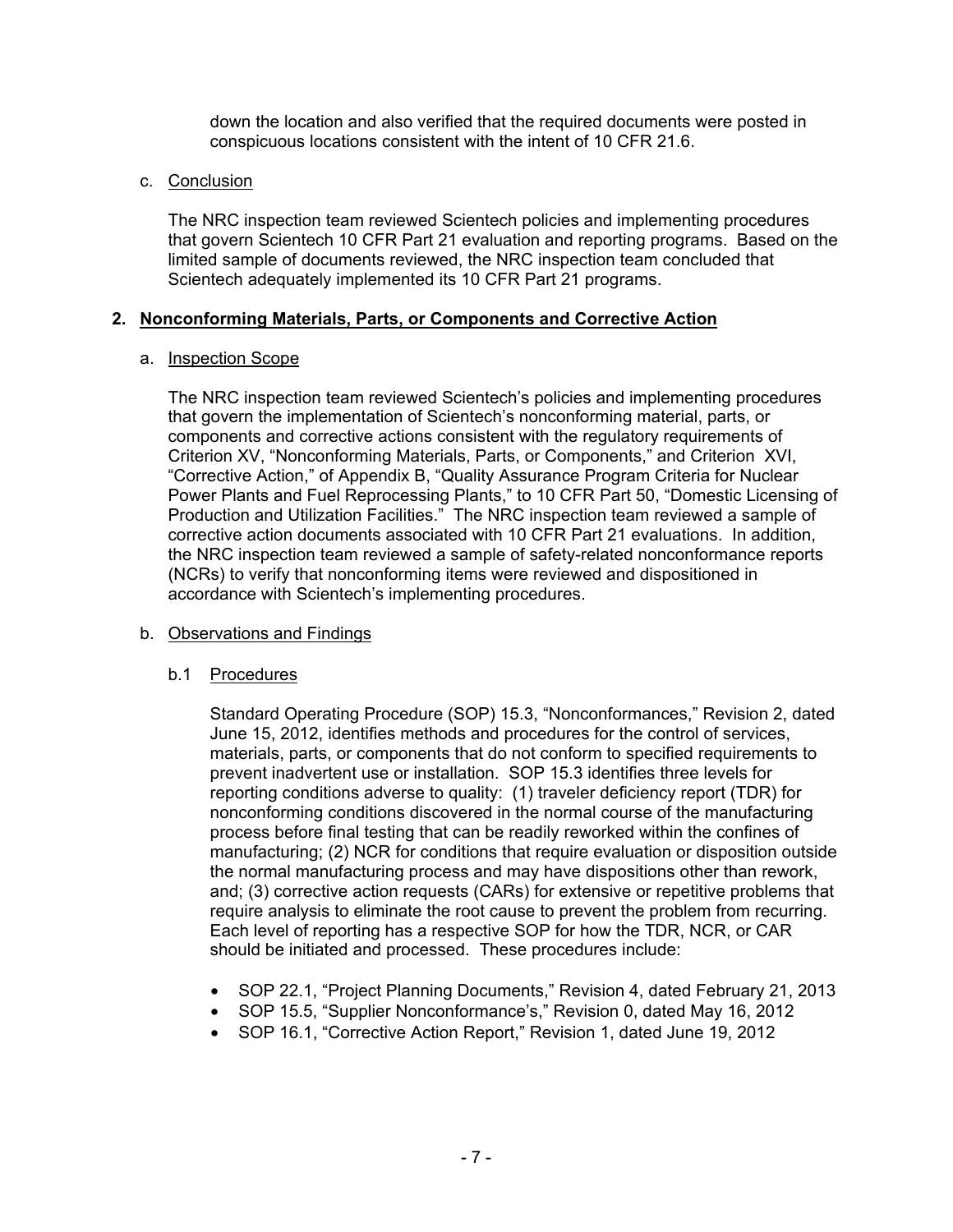down the location and also verified that the required documents were posted in conspicuous locations consistent with the intent of 10 CFR 21.6.

### c. Conclusion

The NRC inspection team reviewed Scientech policies and implementing procedures that govern Scientech 10 CFR Part 21 evaluation and reporting programs. Based on the limited sample of documents reviewed, the NRC inspection team concluded that Scientech adequately implemented its 10 CFR Part 21 programs.

### **2. Nonconforming Materials, Parts, or Components and Corrective Action**

### a. Inspection Scope

The NRC inspection team reviewed Scientech's policies and implementing procedures that govern the implementation of Scientech's nonconforming material, parts, or components and corrective actions consistent with the regulatory requirements of Criterion XV, "Nonconforming Materials, Parts, or Components," and Criterion XVI, "Corrective Action," of Appendix B, "Quality Assurance Program Criteria for Nuclear Power Plants and Fuel Reprocessing Plants," to 10 CFR Part 50, "Domestic Licensing of Production and Utilization Facilities." The NRC inspection team reviewed a sample of corrective action documents associated with 10 CFR Part 21 evaluations. In addition, the NRC inspection team reviewed a sample of safety-related nonconformance reports (NCRs) to verify that nonconforming items were reviewed and dispositioned in accordance with Scientech's implementing procedures.

# b. Observations and Findings

# b.1 Procedures

Standard Operating Procedure (SOP) 15.3, "Nonconformances," Revision 2, dated June 15, 2012, identifies methods and procedures for the control of services, materials, parts, or components that do not conform to specified requirements to prevent inadvertent use or installation. SOP 15.3 identifies three levels for reporting conditions adverse to quality: (1) traveler deficiency report (TDR) for nonconforming conditions discovered in the normal course of the manufacturing process before final testing that can be readily reworked within the confines of manufacturing; (2) NCR for conditions that require evaluation or disposition outside the normal manufacturing process and may have dispositions other than rework, and; (3) corrective action requests (CARs) for extensive or repetitive problems that require analysis to eliminate the root cause to prevent the problem from recurring. Each level of reporting has a respective SOP for how the TDR, NCR, or CAR should be initiated and processed. These procedures include:

- SOP 22.1, "Project Planning Documents," Revision 4, dated February 21, 2013
- SOP 15.5, "Supplier Nonconformance's," Revision 0, dated May 16, 2012
- SOP 16.1, "Corrective Action Report," Revision 1, dated June 19, 2012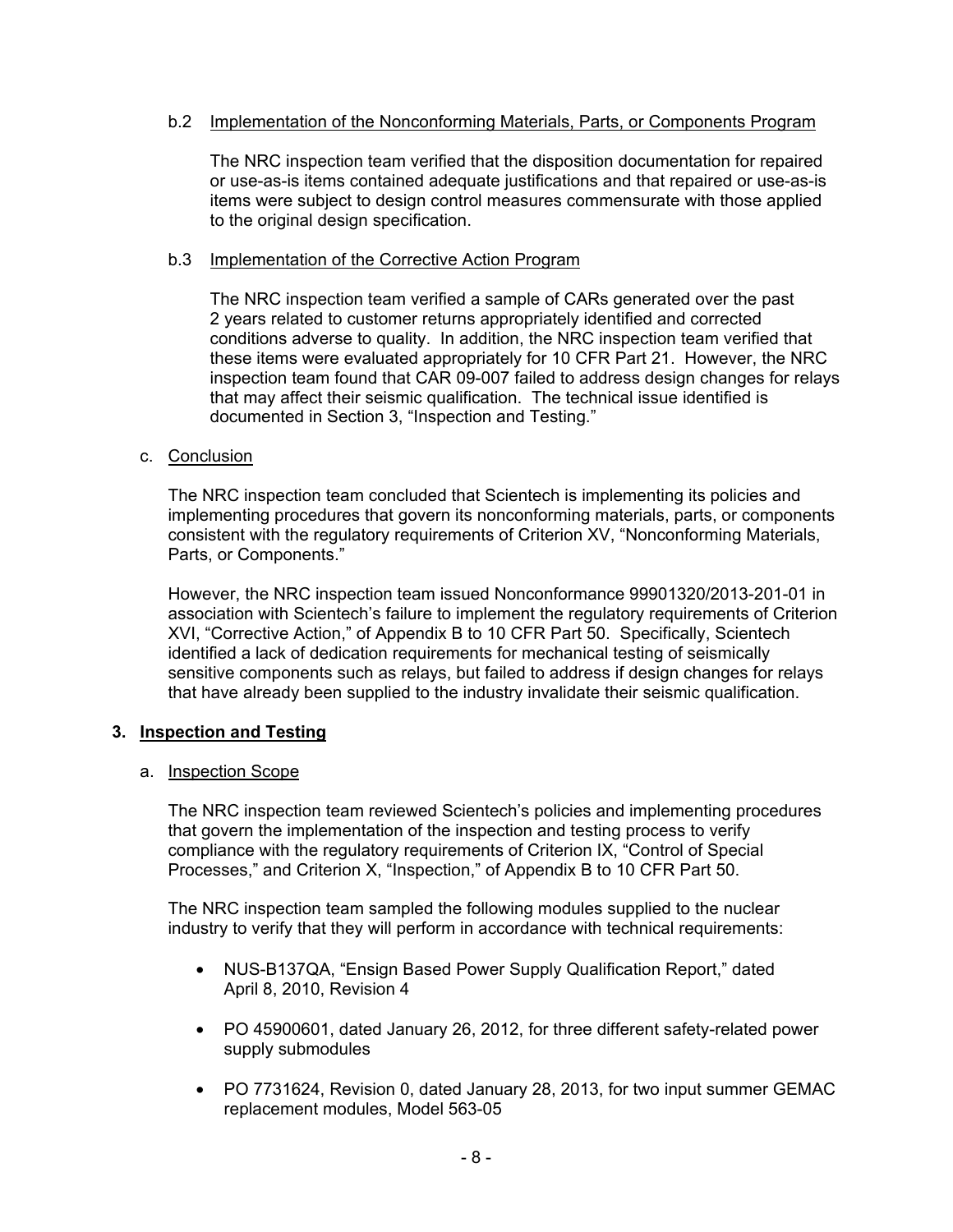# b.2 Implementation of the Nonconforming Materials, Parts, or Components Program

The NRC inspection team verified that the disposition documentation for repaired or use-as-is items contained adequate justifications and that repaired or use-as-is items were subject to design control measures commensurate with those applied to the original design specification.

# b.3 Implementation of the Corrective Action Program

The NRC inspection team verified a sample of CARs generated over the past 2 years related to customer returns appropriately identified and corrected conditions adverse to quality. In addition, the NRC inspection team verified that these items were evaluated appropriately for 10 CFR Part 21. However, the NRC inspection team found that CAR 09-007 failed to address design changes for relays that may affect their seismic qualification. The technical issue identified is documented in Section 3, "Inspection and Testing."

# c. Conclusion

The NRC inspection team concluded that Scientech is implementing its policies and implementing procedures that govern its nonconforming materials, parts, or components consistent with the regulatory requirements of Criterion XV, "Nonconforming Materials, Parts, or Components."

However, the NRC inspection team issued Nonconformance 99901320/2013-201-01 in association with Scientech's failure to implement the regulatory requirements of Criterion XVI, "Corrective Action," of Appendix B to 10 CFR Part 50. Specifically, Scientech identified a lack of dedication requirements for mechanical testing of seismically sensitive components such as relays, but failed to address if design changes for relays that have already been supplied to the industry invalidate their seismic qualification.

# **3. Inspection and Testing**

# a. Inspection Scope

The NRC inspection team reviewed Scientech's policies and implementing procedures that govern the implementation of the inspection and testing process to verify compliance with the regulatory requirements of Criterion IX, "Control of Special Processes," and Criterion X, "Inspection," of Appendix B to 10 CFR Part 50.

The NRC inspection team sampled the following modules supplied to the nuclear industry to verify that they will perform in accordance with technical requirements:

- NUS-B137QA, "Ensign Based Power Supply Qualification Report," dated April 8, 2010, Revision 4
- PO 45900601, dated January 26, 2012, for three different safety-related power supply submodules
- PO 7731624, Revision 0, dated January 28, 2013, for two input summer GEMAC replacement modules, Model 563-05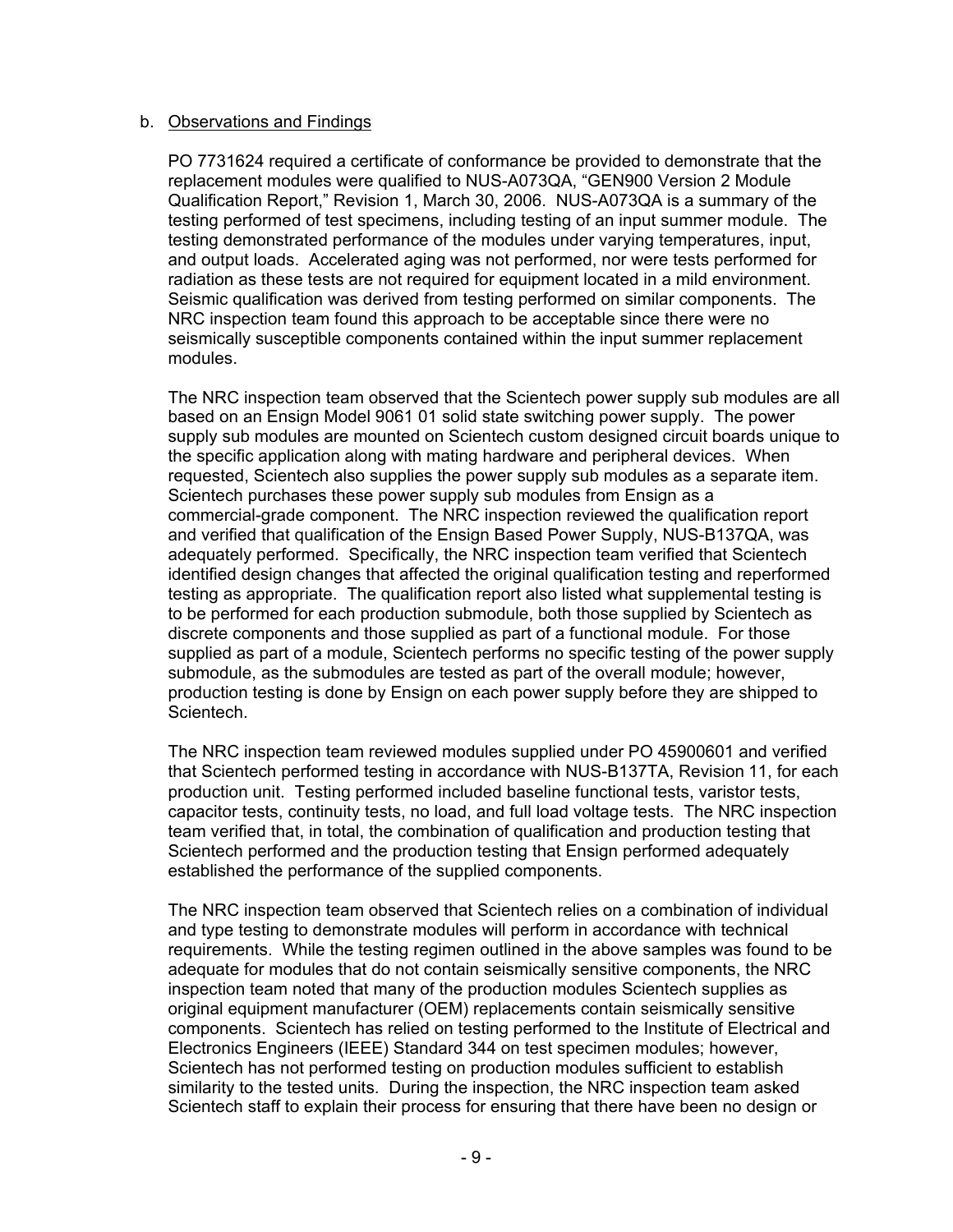### b. Observations and Findings

PO 7731624 required a certificate of conformance be provided to demonstrate that the replacement modules were qualified to NUS-A073QA, "GEN900 Version 2 Module Qualification Report," Revision 1, March 30, 2006. NUS-A073QA is a summary of the testing performed of test specimens, including testing of an input summer module. The testing demonstrated performance of the modules under varying temperatures, input, and output loads. Accelerated aging was not performed, nor were tests performed for radiation as these tests are not required for equipment located in a mild environment. Seismic qualification was derived from testing performed on similar components. The NRC inspection team found this approach to be acceptable since there were no seismically susceptible components contained within the input summer replacement modules.

The NRC inspection team observed that the Scientech power supply sub modules are all based on an Ensign Model 9061 01 solid state switching power supply. The power supply sub modules are mounted on Scientech custom designed circuit boards unique to the specific application along with mating hardware and peripheral devices. When requested, Scientech also supplies the power supply sub modules as a separate item. Scientech purchases these power supply sub modules from Ensign as a commercial-grade component. The NRC inspection reviewed the qualification report and verified that qualification of the Ensign Based Power Supply, NUS-B137QA, was adequately performed. Specifically, the NRC inspection team verified that Scientech identified design changes that affected the original qualification testing and reperformed testing as appropriate. The qualification report also listed what supplemental testing is to be performed for each production submodule, both those supplied by Scientech as discrete components and those supplied as part of a functional module. For those supplied as part of a module, Scientech performs no specific testing of the power supply submodule, as the submodules are tested as part of the overall module; however, production testing is done by Ensign on each power supply before they are shipped to Scientech.

The NRC inspection team reviewed modules supplied under PO 45900601 and verified that Scientech performed testing in accordance with NUS-B137TA, Revision 11, for each production unit. Testing performed included baseline functional tests, varistor tests, capacitor tests, continuity tests, no load, and full load voltage tests. The NRC inspection team verified that, in total, the combination of qualification and production testing that Scientech performed and the production testing that Ensign performed adequately established the performance of the supplied components.

The NRC inspection team observed that Scientech relies on a combination of individual and type testing to demonstrate modules will perform in accordance with technical requirements. While the testing regimen outlined in the above samples was found to be adequate for modules that do not contain seismically sensitive components, the NRC inspection team noted that many of the production modules Scientech supplies as original equipment manufacturer (OEM) replacements contain seismically sensitive components. Scientech has relied on testing performed to the Institute of Electrical and Electronics Engineers (IEEE) Standard 344 on test specimen modules; however, Scientech has not performed testing on production modules sufficient to establish similarity to the tested units. During the inspection, the NRC inspection team asked Scientech staff to explain their process for ensuring that there have been no design or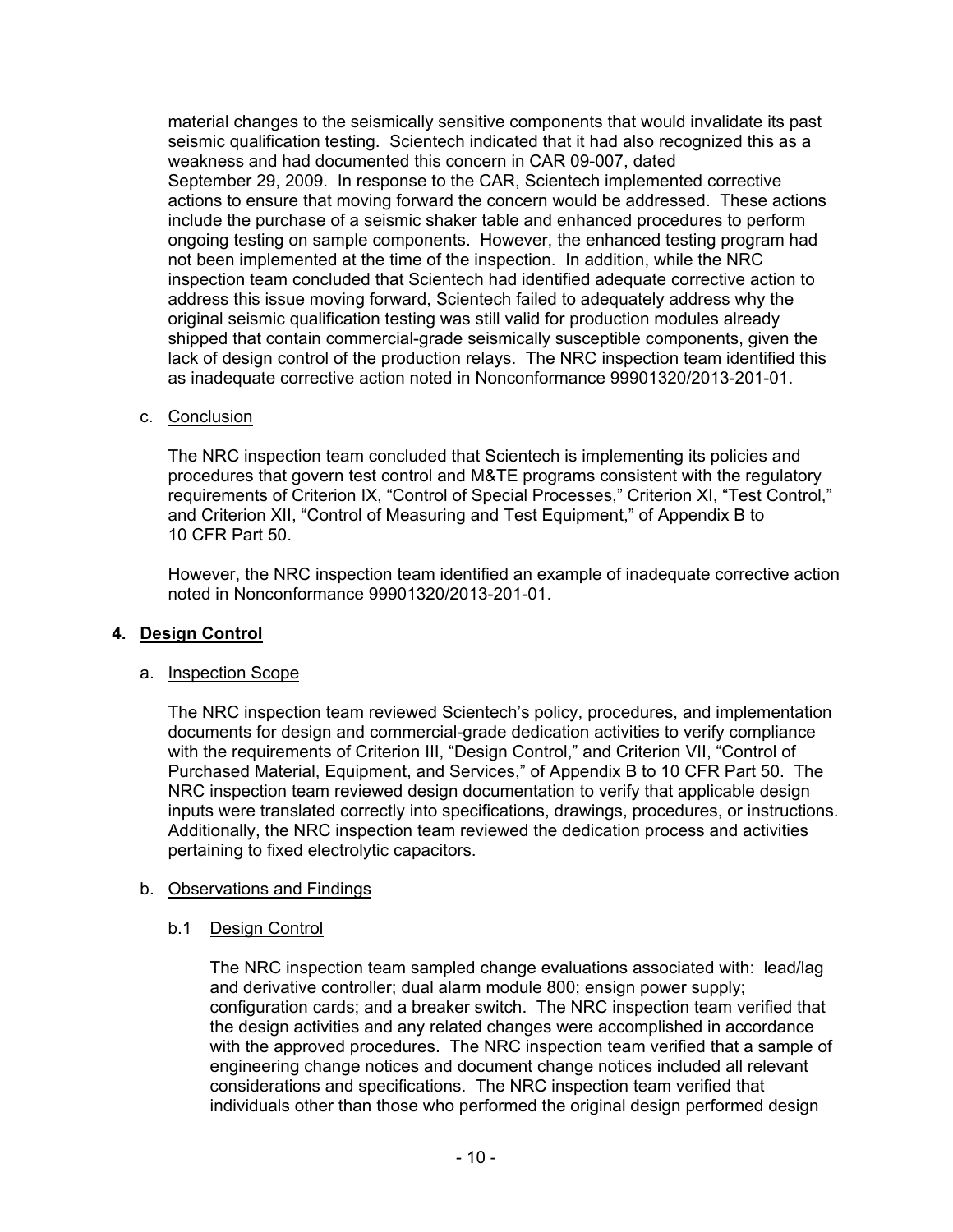material changes to the seismically sensitive components that would invalidate its past seismic qualification testing. Scientech indicated that it had also recognized this as a weakness and had documented this concern in CAR 09-007, dated September 29, 2009. In response to the CAR, Scientech implemented corrective actions to ensure that moving forward the concern would be addressed. These actions include the purchase of a seismic shaker table and enhanced procedures to perform ongoing testing on sample components. However, the enhanced testing program had not been implemented at the time of the inspection. In addition, while the NRC inspection team concluded that Scientech had identified adequate corrective action to address this issue moving forward, Scientech failed to adequately address why the original seismic qualification testing was still valid for production modules already shipped that contain commercial-grade seismically susceptible components, given the lack of design control of the production relays. The NRC inspection team identified this as inadequate corrective action noted in Nonconformance 99901320/2013-201-01.

c. Conclusion

The NRC inspection team concluded that Scientech is implementing its policies and procedures that govern test control and M&TE programs consistent with the regulatory requirements of Criterion IX, "Control of Special Processes," Criterion XI, "Test Control," and Criterion XII, "Control of Measuring and Test Equipment," of Appendix B to 10 CFR Part 50.

However, the NRC inspection team identified an example of inadequate corrective action noted in Nonconformance 99901320/2013-201-01.

# **4. Design Control**

#### a. Inspection Scope

The NRC inspection team reviewed Scientech's policy, procedures, and implementation documents for design and commercial-grade dedication activities to verify compliance with the requirements of Criterion III, "Design Control," and Criterion VII, "Control of Purchased Material, Equipment, and Services," of Appendix B to 10 CFR Part 50. The NRC inspection team reviewed design documentation to verify that applicable design inputs were translated correctly into specifications, drawings, procedures, or instructions. Additionally, the NRC inspection team reviewed the dedication process and activities pertaining to fixed electrolytic capacitors.

#### b. Observations and Findings

#### b.1 Design Control

The NRC inspection team sampled change evaluations associated with: lead/lag and derivative controller; dual alarm module 800; ensign power supply; configuration cards; and a breaker switch. The NRC inspection team verified that the design activities and any related changes were accomplished in accordance with the approved procedures. The NRC inspection team verified that a sample of engineering change notices and document change notices included all relevant considerations and specifications. The NRC inspection team verified that individuals other than those who performed the original design performed design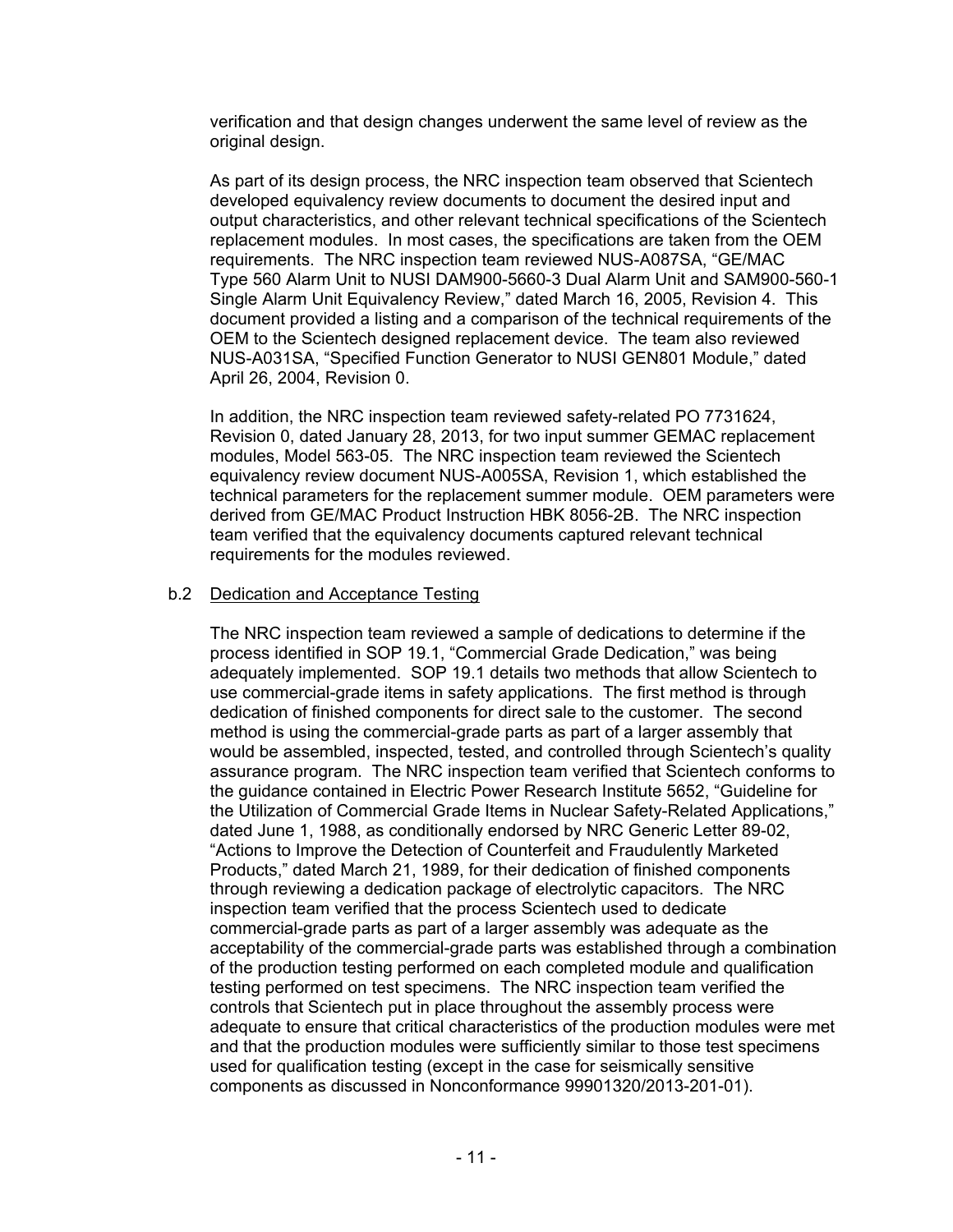verification and that design changes underwent the same level of review as the original design.

As part of its design process, the NRC inspection team observed that Scientech developed equivalency review documents to document the desired input and output characteristics, and other relevant technical specifications of the Scientech replacement modules. In most cases, the specifications are taken from the OEM requirements. The NRC inspection team reviewed NUS-A087SA, "GE/MAC Type 560 Alarm Unit to NUSI DAM900-5660-3 Dual Alarm Unit and SAM900-560-1 Single Alarm Unit Equivalency Review," dated March 16, 2005, Revision 4. This document provided a listing and a comparison of the technical requirements of the OEM to the Scientech designed replacement device. The team also reviewed NUS-A031SA, "Specified Function Generator to NUSI GEN801 Module," dated April 26, 2004, Revision 0.

In addition, the NRC inspection team reviewed safety-related PO 7731624, Revision 0, dated January 28, 2013, for two input summer GEMAC replacement modules, Model 563-05. The NRC inspection team reviewed the Scientech equivalency review document NUS-A005SA, Revision 1, which established the technical parameters for the replacement summer module. OEM parameters were derived from GE/MAC Product Instruction HBK 8056-2B. The NRC inspection team verified that the equivalency documents captured relevant technical requirements for the modules reviewed.

### b.2 Dedication and Acceptance Testing

The NRC inspection team reviewed a sample of dedications to determine if the process identified in SOP 19.1, "Commercial Grade Dedication," was being adequately implemented. SOP 19.1 details two methods that allow Scientech to use commercial-grade items in safety applications. The first method is through dedication of finished components for direct sale to the customer. The second method is using the commercial-grade parts as part of a larger assembly that would be assembled, inspected, tested, and controlled through Scientech's quality assurance program. The NRC inspection team verified that Scientech conforms to the guidance contained in Electric Power Research Institute 5652, "Guideline for the Utilization of Commercial Grade Items in Nuclear Safety-Related Applications," dated June 1, 1988, as conditionally endorsed by NRC Generic Letter 89-02, "Actions to Improve the Detection of Counterfeit and Fraudulently Marketed Products," dated March 21, 1989, for their dedication of finished components through reviewing a dedication package of electrolytic capacitors. The NRC inspection team verified that the process Scientech used to dedicate commercial-grade parts as part of a larger assembly was adequate as the acceptability of the commercial-grade parts was established through a combination of the production testing performed on each completed module and qualification testing performed on test specimens. The NRC inspection team verified the controls that Scientech put in place throughout the assembly process were adequate to ensure that critical characteristics of the production modules were met and that the production modules were sufficiently similar to those test specimens used for qualification testing (except in the case for seismically sensitive components as discussed in Nonconformance 99901320/2013-201-01).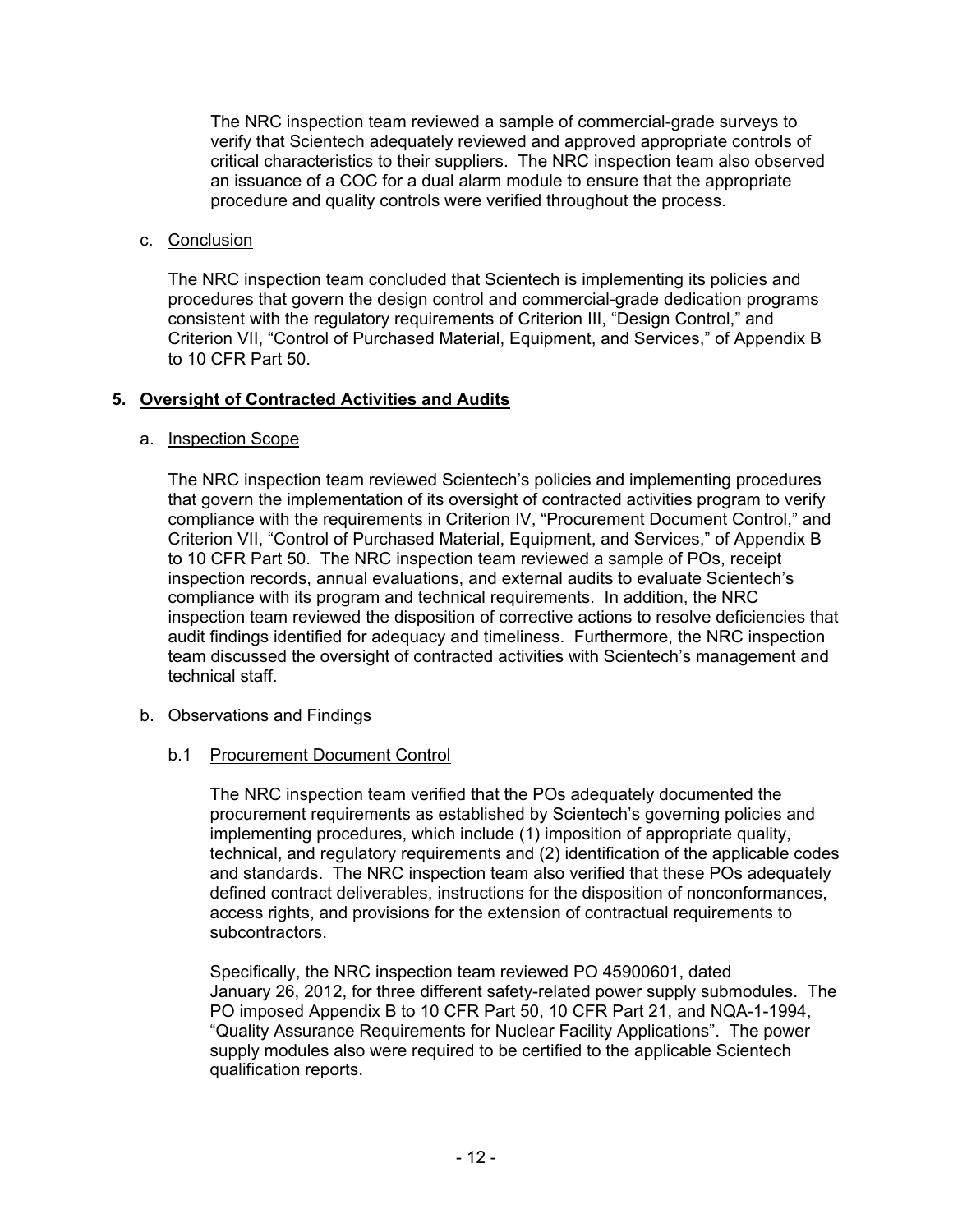The NRC inspection team reviewed a sample of commercial-grade surveys to verify that Scientech adequately reviewed and approved appropriate controls of critical characteristics to their suppliers. The NRC inspection team also observed an issuance of a COC for a dual alarm module to ensure that the appropriate procedure and quality controls were verified throughout the process.

# c. Conclusion

The NRC inspection team concluded that Scientech is implementing its policies and procedures that govern the design control and commercial-grade dedication programs consistent with the regulatory requirements of Criterion III, "Design Control," and Criterion VII, "Control of Purchased Material, Equipment, and Services," of Appendix B to 10 CFR Part 50.

# **5. Oversight of Contracted Activities and Audits**

#### a. Inspection Scope

The NRC inspection team reviewed Scientech's policies and implementing procedures that govern the implementation of its oversight of contracted activities program to verify compliance with the requirements in Criterion IV, "Procurement Document Control," and Criterion VII, "Control of Purchased Material, Equipment, and Services," of Appendix B to 10 CFR Part 50. The NRC inspection team reviewed a sample of POs, receipt inspection records, annual evaluations, and external audits to evaluate Scientech's compliance with its program and technical requirements. In addition, the NRC inspection team reviewed the disposition of corrective actions to resolve deficiencies that audit findings identified for adequacy and timeliness. Furthermore, the NRC inspection team discussed the oversight of contracted activities with Scientech's management and technical staff.

#### b. Observations and Findings

#### b.1 Procurement Document Control

The NRC inspection team verified that the POs adequately documented the procurement requirements as established by Scientech's governing policies and implementing procedures, which include (1) imposition of appropriate quality, technical, and regulatory requirements and (2) identification of the applicable codes and standards. The NRC inspection team also verified that these POs adequately defined contract deliverables, instructions for the disposition of nonconformances, access rights, and provisions for the extension of contractual requirements to subcontractors.

Specifically, the NRC inspection team reviewed PO 45900601, dated January 26, 2012, for three different safety-related power supply submodules. The PO imposed Appendix B to 10 CFR Part 50, 10 CFR Part 21, and NQA-1-1994, "Quality Assurance Requirements for Nuclear Facility Applications". The power supply modules also were required to be certified to the applicable Scientech qualification reports.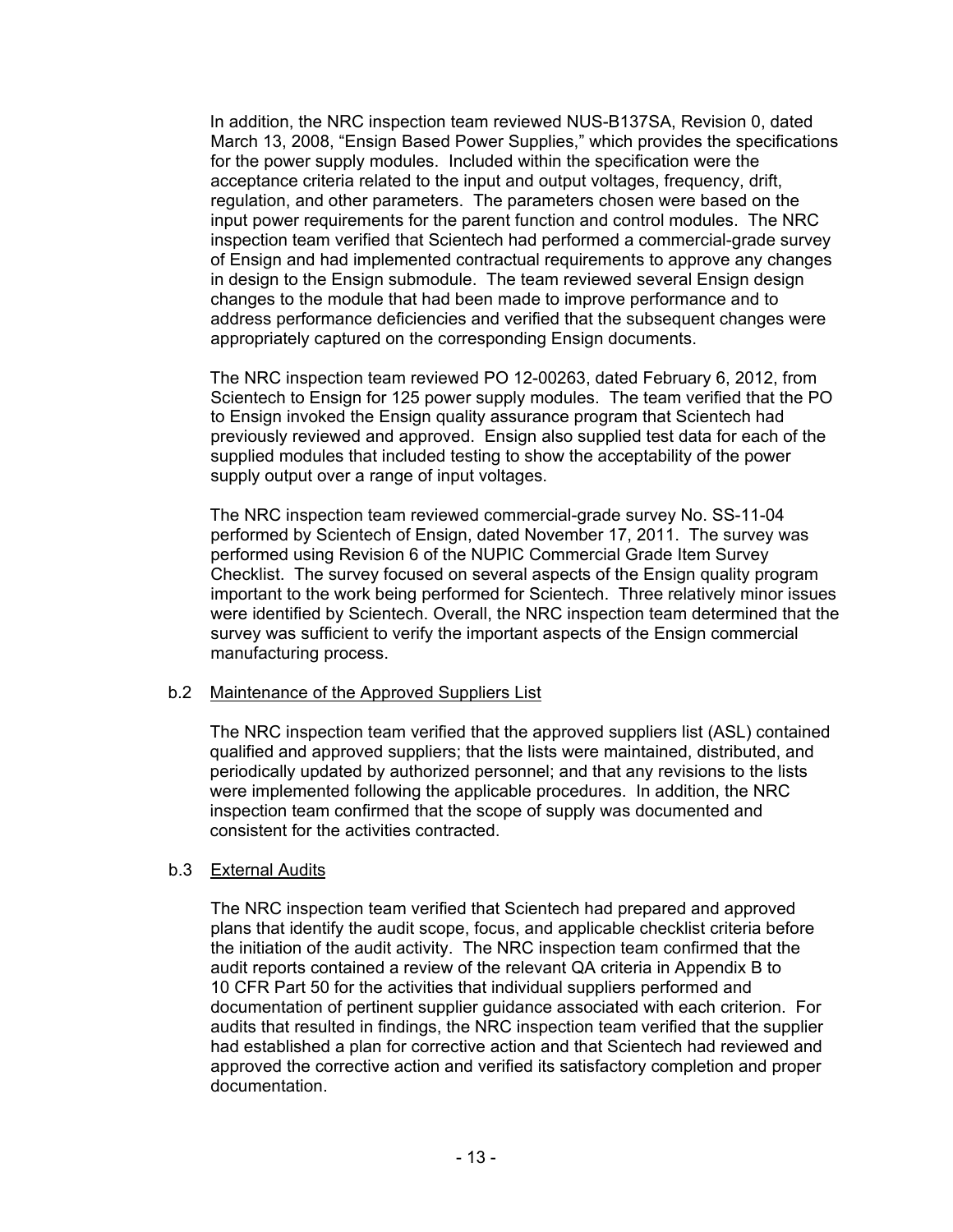In addition, the NRC inspection team reviewed NUS-B137SA, Revision 0, dated March 13, 2008, "Ensign Based Power Supplies," which provides the specifications for the power supply modules. Included within the specification were the acceptance criteria related to the input and output voltages, frequency, drift, regulation, and other parameters. The parameters chosen were based on the input power requirements for the parent function and control modules. The NRC inspection team verified that Scientech had performed a commercial-grade survey of Ensign and had implemented contractual requirements to approve any changes in design to the Ensign submodule. The team reviewed several Ensign design changes to the module that had been made to improve performance and to address performance deficiencies and verified that the subsequent changes were appropriately captured on the corresponding Ensign documents.

The NRC inspection team reviewed PO 12-00263, dated February 6, 2012, from Scientech to Ensign for 125 power supply modules. The team verified that the PO to Ensign invoked the Ensign quality assurance program that Scientech had previously reviewed and approved. Ensign also supplied test data for each of the supplied modules that included testing to show the acceptability of the power supply output over a range of input voltages.

The NRC inspection team reviewed commercial-grade survey No. SS-11-04 performed by Scientech of Ensign, dated November 17, 2011. The survey was performed using Revision 6 of the NUPIC Commercial Grade Item Survey Checklist. The survey focused on several aspects of the Ensign quality program important to the work being performed for Scientech. Three relatively minor issues were identified by Scientech. Overall, the NRC inspection team determined that the survey was sufficient to verify the important aspects of the Ensign commercial manufacturing process.

# b.2 Maintenance of the Approved Suppliers List

 The NRC inspection team verified that the approved suppliers list (ASL) contained qualified and approved suppliers; that the lists were maintained, distributed, and periodically updated by authorized personnel; and that any revisions to the lists were implemented following the applicable procedures. In addition, the NRC inspection team confirmed that the scope of supply was documented and consistent for the activities contracted.

# b.3 External Audits

The NRC inspection team verified that Scientech had prepared and approved plans that identify the audit scope, focus, and applicable checklist criteria before the initiation of the audit activity. The NRC inspection team confirmed that the audit reports contained a review of the relevant QA criteria in Appendix B to 10 CFR Part 50 for the activities that individual suppliers performed and documentation of pertinent supplier guidance associated with each criterion. For audits that resulted in findings, the NRC inspection team verified that the supplier had established a plan for corrective action and that Scientech had reviewed and approved the corrective action and verified its satisfactory completion and proper documentation.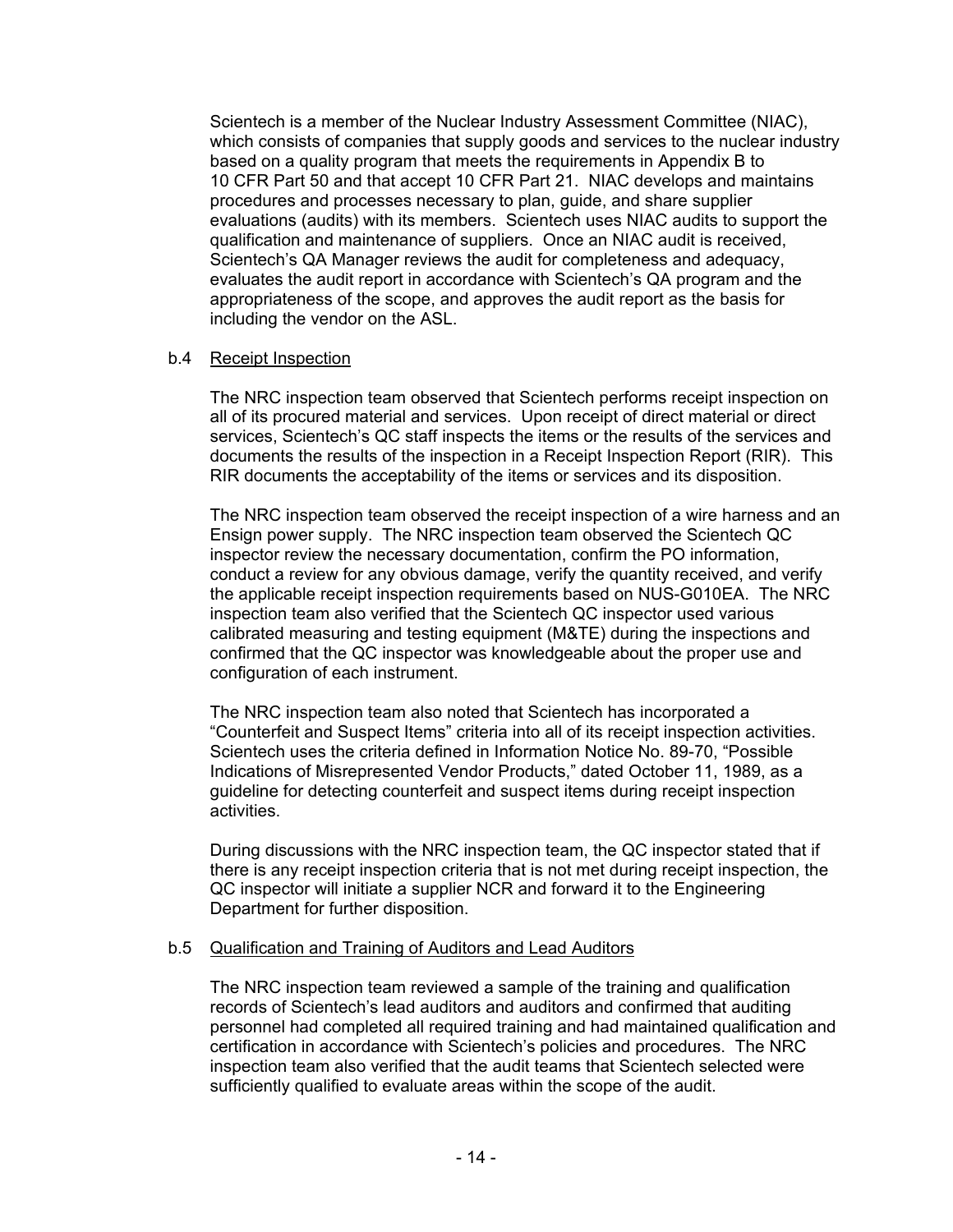Scientech is a member of the Nuclear Industry Assessment Committee (NIAC), which consists of companies that supply goods and services to the nuclear industry based on a quality program that meets the requirements in Appendix B to 10 CFR Part 50 and that accept 10 CFR Part 21. NIAC develops and maintains procedures and processes necessary to plan, guide, and share supplier evaluations (audits) with its members. Scientech uses NIAC audits to support the qualification and maintenance of suppliers. Once an NIAC audit is received, Scientech's QA Manager reviews the audit for completeness and adequacy, evaluates the audit report in accordance with Scientech's QA program and the appropriateness of the scope, and approves the audit report as the basis for including the vendor on the ASL.

# b.4 Receipt Inspection

The NRC inspection team observed that Scientech performs receipt inspection on all of its procured material and services. Upon receipt of direct material or direct services, Scientech's QC staff inspects the items or the results of the services and documents the results of the inspection in a Receipt Inspection Report (RIR). This RIR documents the acceptability of the items or services and its disposition.

The NRC inspection team observed the receipt inspection of a wire harness and an Ensign power supply. The NRC inspection team observed the Scientech QC inspector review the necessary documentation, confirm the PO information, conduct a review for any obvious damage, verify the quantity received, and verify the applicable receipt inspection requirements based on NUS-G010EA. The NRC inspection team also verified that the Scientech QC inspector used various calibrated measuring and testing equipment (M&TE) during the inspections and confirmed that the QC inspector was knowledgeable about the proper use and configuration of each instrument.

The NRC inspection team also noted that Scientech has incorporated a "Counterfeit and Suspect Items" criteria into all of its receipt inspection activities. Scientech uses the criteria defined in Information Notice No. 89-70, "Possible Indications of Misrepresented Vendor Products," dated October 11, 1989, as a guideline for detecting counterfeit and suspect items during receipt inspection activities.

During discussions with the NRC inspection team, the QC inspector stated that if there is any receipt inspection criteria that is not met during receipt inspection, the QC inspector will initiate a supplier NCR and forward it to the Engineering Department for further disposition.

# b.5 Qualification and Training of Auditors and Lead Auditors

The NRC inspection team reviewed a sample of the training and qualification records of Scientech's lead auditors and auditors and confirmed that auditing personnel had completed all required training and had maintained qualification and certification in accordance with Scientech's policies and procedures. The NRC inspection team also verified that the audit teams that Scientech selected were sufficiently qualified to evaluate areas within the scope of the audit.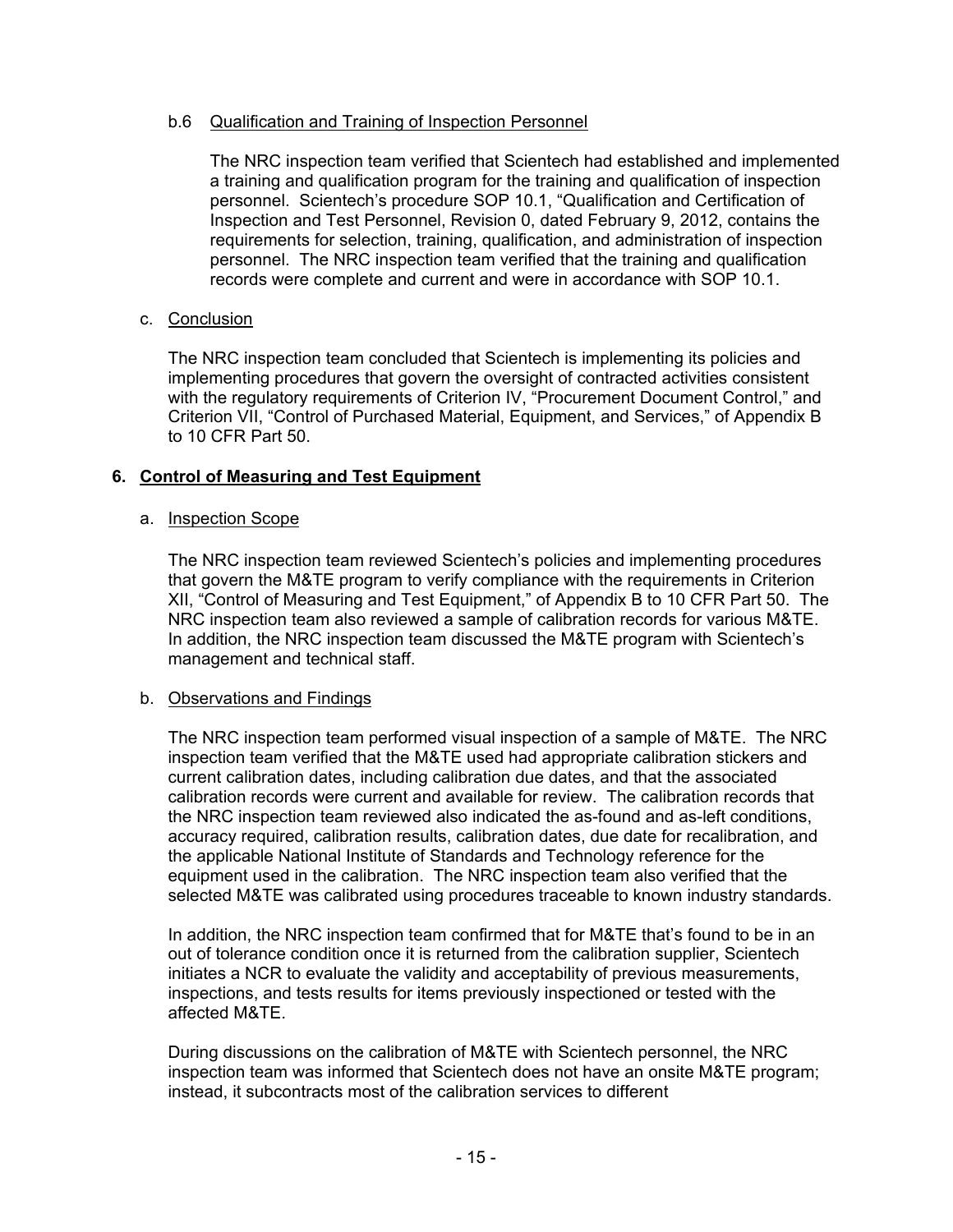# b.6 Qualification and Training of Inspection Personnel

The NRC inspection team verified that Scientech had established and implemented a training and qualification program for the training and qualification of inspection personnel. Scientech's procedure SOP 10.1, "Qualification and Certification of Inspection and Test Personnel, Revision 0, dated February 9, 2012, contains the requirements for selection, training, qualification, and administration of inspection personnel. The NRC inspection team verified that the training and qualification records were complete and current and were in accordance with SOP 10.1.

# c. Conclusion

The NRC inspection team concluded that Scientech is implementing its policies and implementing procedures that govern the oversight of contracted activities consistent with the regulatory requirements of Criterion IV, "Procurement Document Control," and Criterion VII, "Control of Purchased Material, Equipment, and Services," of Appendix B to 10 CFR Part 50.

# **6. Control of Measuring and Test Equipment**

# a. Inspection Scope

The NRC inspection team reviewed Scientech's policies and implementing procedures that govern the M&TE program to verify compliance with the requirements in Criterion XII, "Control of Measuring and Test Equipment," of Appendix B to 10 CFR Part 50. The NRC inspection team also reviewed a sample of calibration records for various M&TE. In addition, the NRC inspection team discussed the M&TE program with Scientech's management and technical staff.

# b. Observations and Findings

The NRC inspection team performed visual inspection of a sample of M&TE. The NRC inspection team verified that the M&TE used had appropriate calibration stickers and current calibration dates, including calibration due dates, and that the associated calibration records were current and available for review. The calibration records that the NRC inspection team reviewed also indicated the as-found and as-left conditions, accuracy required, calibration results, calibration dates, due date for recalibration, and the applicable National Institute of Standards and Technology reference for the equipment used in the calibration. The NRC inspection team also verified that the selected M&TE was calibrated using procedures traceable to known industry standards.

In addition, the NRC inspection team confirmed that for M&TE that's found to be in an out of tolerance condition once it is returned from the calibration supplier, Scientech initiates a NCR to evaluate the validity and acceptability of previous measurements, inspections, and tests results for items previously inspectioned or tested with the affected M&TE.

During discussions on the calibration of M&TE with Scientech personnel, the NRC inspection team was informed that Scientech does not have an onsite M&TE program; instead, it subcontracts most of the calibration services to different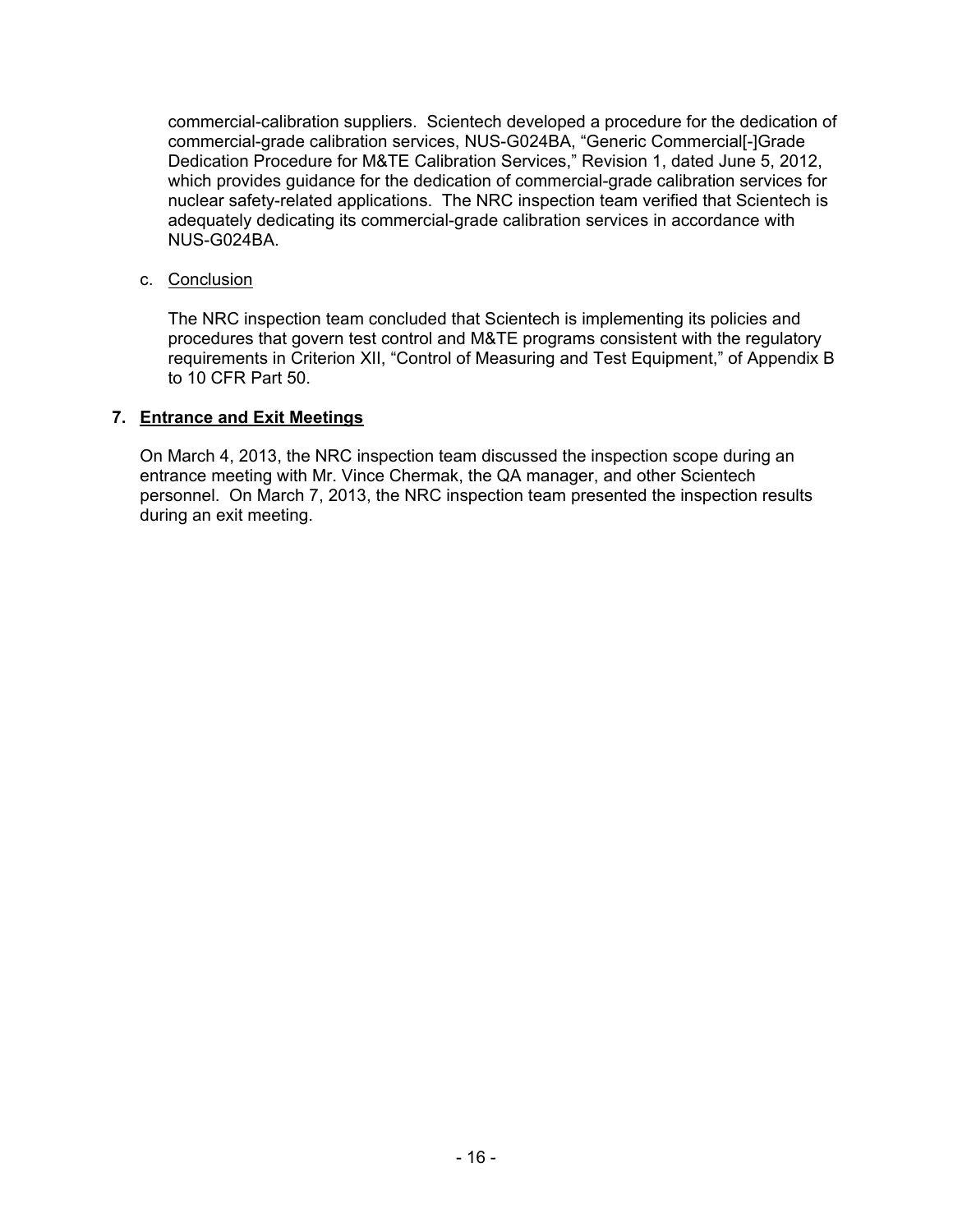commercial-calibration suppliers. Scientech developed a procedure for the dedication of commercial-grade calibration services, NUS-G024BA, "Generic Commercial[-]Grade Dedication Procedure for M&TE Calibration Services," Revision 1, dated June 5, 2012, which provides guidance for the dedication of commercial-grade calibration services for nuclear safety-related applications. The NRC inspection team verified that Scientech is adequately dedicating its commercial-grade calibration services in accordance with NUS-G024BA.

c. Conclusion

The NRC inspection team concluded that Scientech is implementing its policies and procedures that govern test control and M&TE programs consistent with the regulatory requirements in Criterion XII, "Control of Measuring and Test Equipment," of Appendix B to 10 CFR Part 50.

# **7. Entrance and Exit Meetings**

On March 4, 2013, the NRC inspection team discussed the inspection scope during an entrance meeting with Mr. Vince Chermak, the QA manager, and other Scientech personnel. On March 7, 2013, the NRC inspection team presented the inspection results during an exit meeting.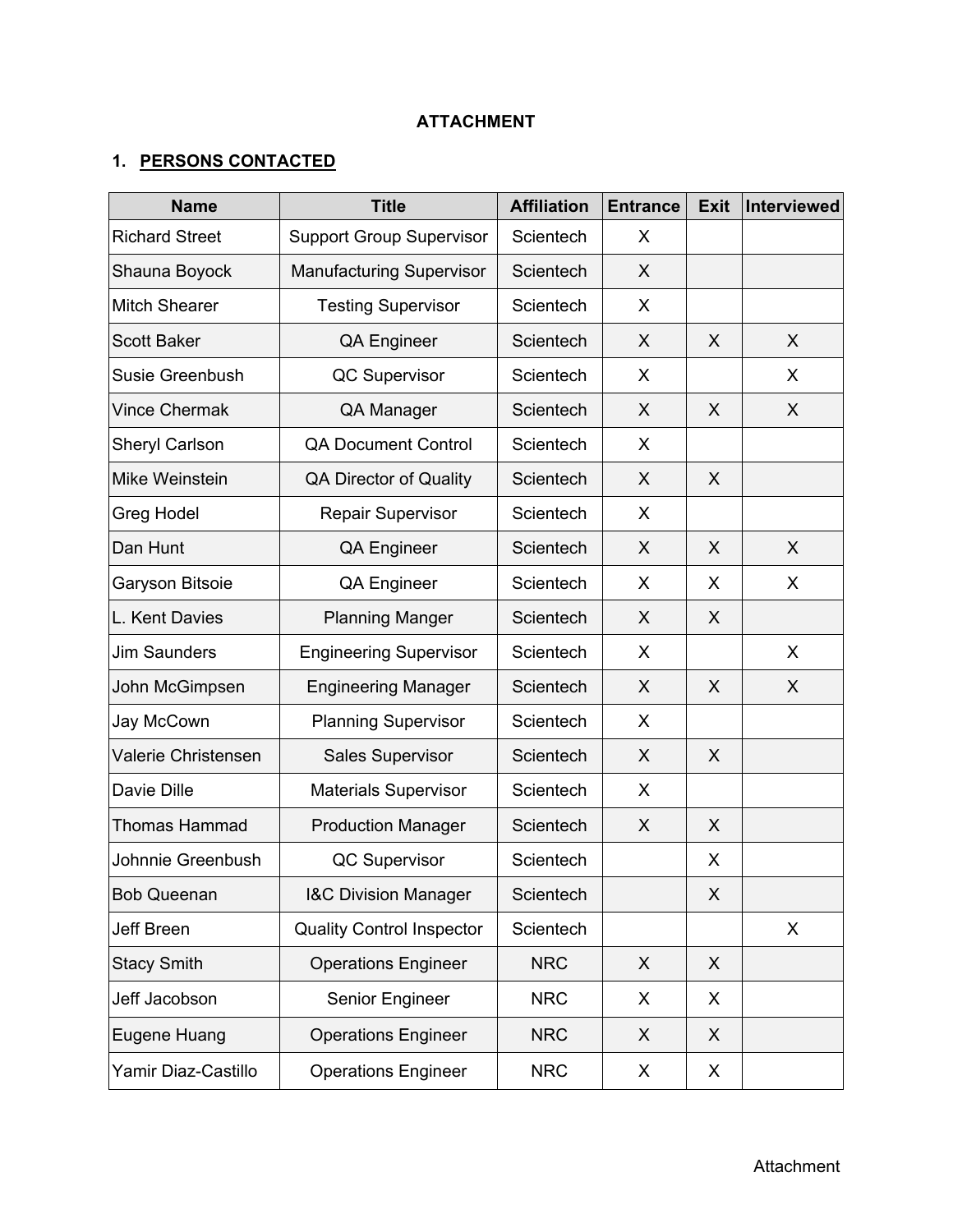# **ATTACHMENT**

# **1. PERSONS CONTACTED**

| <b>Name</b>           | <b>Title</b>                     | <b>Affiliation</b> | <b>Entrance</b> | <b>Exit</b> | <b>Interviewed</b> |
|-----------------------|----------------------------------|--------------------|-----------------|-------------|--------------------|
| <b>Richard Street</b> | <b>Support Group Supervisor</b>  | Scientech          | X               |             |                    |
| Shauna Boyock         | <b>Manufacturing Supervisor</b>  | Scientech          | X               |             |                    |
| <b>Mitch Shearer</b>  | <b>Testing Supervisor</b>        | Scientech          | X               |             |                    |
| <b>Scott Baker</b>    | <b>QA Engineer</b>               | Scientech          | X               | X           | X                  |
| Susie Greenbush       | QC Supervisor                    | Scientech          | X               |             | X                  |
| <b>Vince Chermak</b>  | QA Manager                       | Scientech          | X               | X           | X                  |
| Sheryl Carlson        | <b>QA Document Control</b>       | Scientech          | X               |             |                    |
| Mike Weinstein        | <b>QA Director of Quality</b>    | Scientech          | X               | X           |                    |
| Greg Hodel            | <b>Repair Supervisor</b>         | Scientech          | X               |             |                    |
| Dan Hunt              | <b>QA Engineer</b>               | Scientech          | X               | X           | X                  |
| Garyson Bitsoie       | <b>QA Engineer</b>               | Scientech          | X               | X           | X                  |
| L. Kent Davies        | <b>Planning Manger</b>           | Scientech          | X               | X           |                    |
| <b>Jim Saunders</b>   | <b>Engineering Supervisor</b>    | Scientech          | X               |             | X                  |
| John McGimpsen        | <b>Engineering Manager</b>       | Scientech          | X               | X           | X                  |
| Jay McCown            | <b>Planning Supervisor</b>       | Scientech          | X               |             |                    |
| Valerie Christensen   | <b>Sales Supervisor</b>          | Scientech          | X               | X           |                    |
| Davie Dille           | <b>Materials Supervisor</b>      | Scientech          | X               |             |                    |
| Thomas Hammad         | <b>Production Manager</b>        | Scientech          | X               | X           |                    |
| Johnnie Greenbush     | QC Supervisor                    | Scientech          |                 | X           |                    |
| <b>Bob Queenan</b>    | <b>I&amp;C Division Manager</b>  | Scientech          |                 | X           |                    |
| Jeff Breen            | <b>Quality Control Inspector</b> | Scientech          |                 |             | X                  |
| <b>Stacy Smith</b>    | <b>Operations Engineer</b>       | <b>NRC</b>         | X               | X           |                    |
| Jeff Jacobson         | Senior Engineer                  | <b>NRC</b>         | X               | X           |                    |
| Eugene Huang          | <b>Operations Engineer</b>       | <b>NRC</b>         | X               | X           |                    |
| Yamir Diaz-Castillo   | <b>Operations Engineer</b>       | <b>NRC</b>         | X               | X           |                    |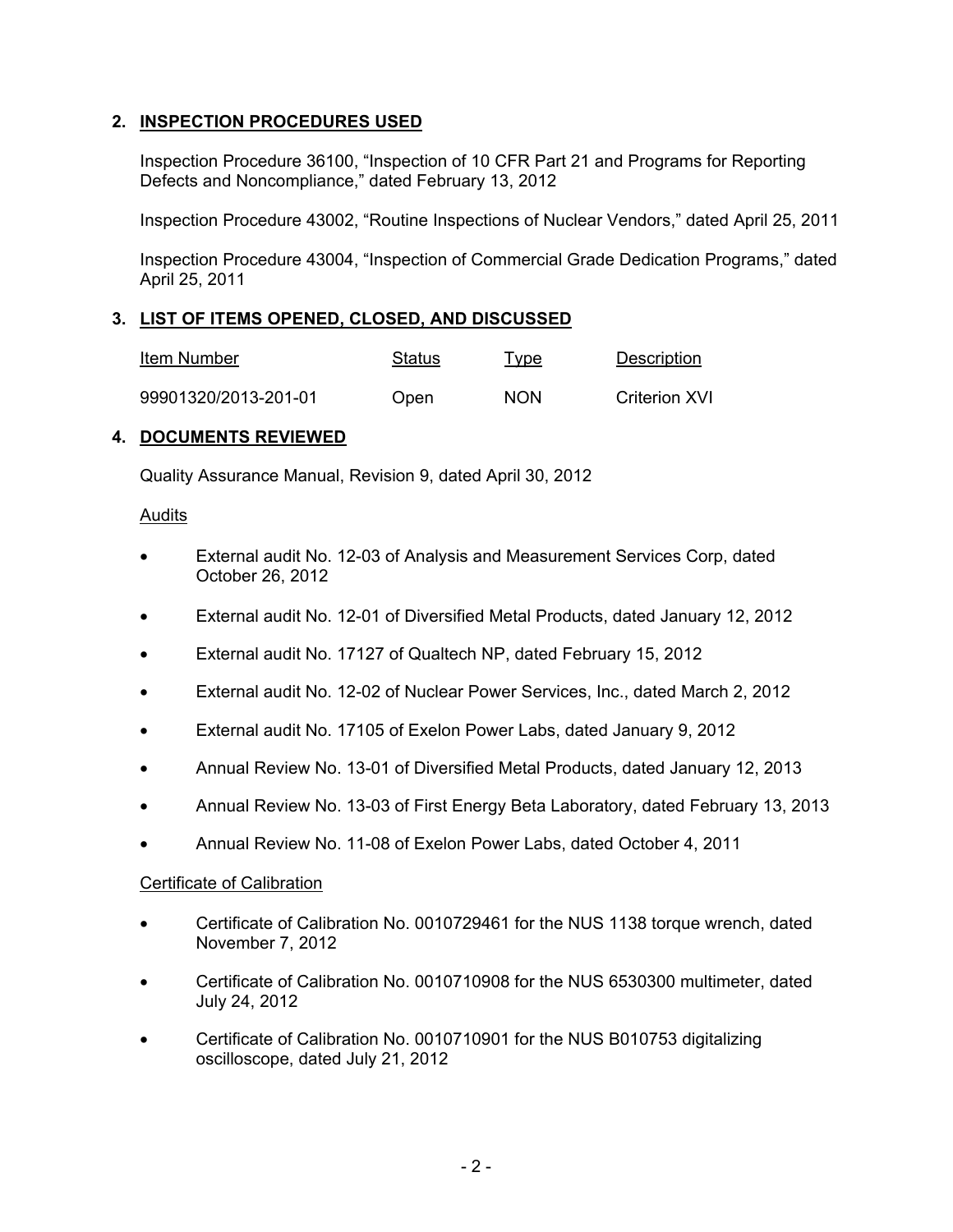# **2. INSPECTION PROCEDURES USED**

Inspection Procedure 36100, "Inspection of 10 CFR Part 21 and Programs for Reporting Defects and Noncompliance," dated February 13, 2012

Inspection Procedure 43002, "Routine Inspections of Nuclear Vendors," dated April 25, 2011

Inspection Procedure 43004, "Inspection of Commercial Grade Dedication Programs," dated April 25, 2011

# **3. LIST OF ITEMS OPENED, CLOSED, AND DISCUSSED**

| Item Number          | Status | <u>Type</u> | Description          |
|----------------------|--------|-------------|----------------------|
| 99901320/2013-201-01 | Open   | <b>NON</b>  | <b>Criterion XVI</b> |

# **4. DOCUMENTS REVIEWED**

Quality Assurance Manual, Revision 9, dated April 30, 2012

### Audits

- External audit No. 12-03 of Analysis and Measurement Services Corp, dated October 26, 2012
- External audit No. 12-01 of Diversified Metal Products, dated January 12, 2012
- External audit No. 17127 of Qualtech NP, dated February 15, 2012
- External audit No. 12-02 of Nuclear Power Services, Inc., dated March 2, 2012
- External audit No. 17105 of Exelon Power Labs, dated January 9, 2012
- Annual Review No. 13-01 of Diversified Metal Products, dated January 12, 2013
- Annual Review No. 13-03 of First Energy Beta Laboratory, dated February 13, 2013
- Annual Review No. 11-08 of Exelon Power Labs, dated October 4, 2011

# Certificate of Calibration

- Certificate of Calibration No. 0010729461 for the NUS 1138 torque wrench, dated November 7, 2012
- Certificate of Calibration No. 0010710908 for the NUS 6530300 multimeter, dated July 24, 2012
- Certificate of Calibration No. 0010710901 for the NUS B010753 digitalizing oscilloscope, dated July 21, 2012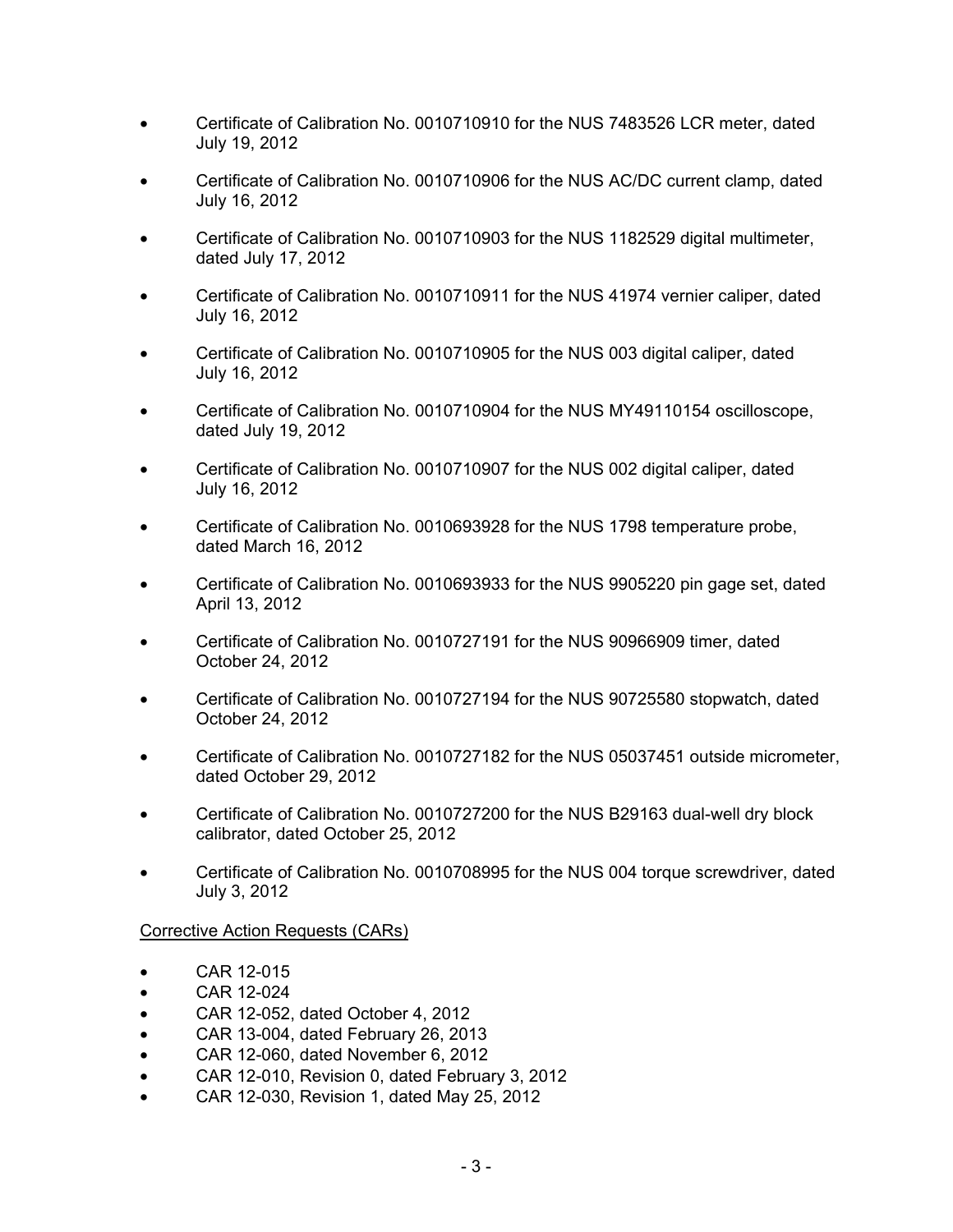- Certificate of Calibration No. 0010710910 for the NUS 7483526 LCR meter, dated July 19, 2012
- Certificate of Calibration No. 0010710906 for the NUS AC/DC current clamp, dated July 16, 2012
- Certificate of Calibration No. 0010710903 for the NUS 1182529 digital multimeter, dated July 17, 2012
- Certificate of Calibration No. 0010710911 for the NUS 41974 vernier caliper, dated July 16, 2012
- Certificate of Calibration No. 0010710905 for the NUS 003 digital caliper, dated July 16, 2012
- Certificate of Calibration No. 0010710904 for the NUS MY49110154 oscilloscope, dated July 19, 2012
- Certificate of Calibration No. 0010710907 for the NUS 002 digital caliper, dated July 16, 2012
- Certificate of Calibration No. 0010693928 for the NUS 1798 temperature probe, dated March 16, 2012
- Certificate of Calibration No. 0010693933 for the NUS 9905220 pin gage set, dated April 13, 2012
- Certificate of Calibration No. 0010727191 for the NUS 90966909 timer, dated October 24, 2012
- Certificate of Calibration No. 0010727194 for the NUS 90725580 stopwatch, dated October 24, 2012
- Certificate of Calibration No. 0010727182 for the NUS 05037451 outside micrometer, dated October 29, 2012
- Certificate of Calibration No. 0010727200 for the NUS B29163 dual-well dry block calibrator, dated October 25, 2012
- Certificate of Calibration No. 0010708995 for the NUS 004 torque screwdriver, dated July 3, 2012

# Corrective Action Requests (CARs)

- CAR 12-015
- CAR 12-024
- CAR 12-052, dated October 4, 2012
- CAR 13-004, dated February 26, 2013
- CAR 12-060, dated November 6, 2012
- CAR 12-010, Revision 0, dated February 3, 2012
- CAR 12-030, Revision 1, dated May 25, 2012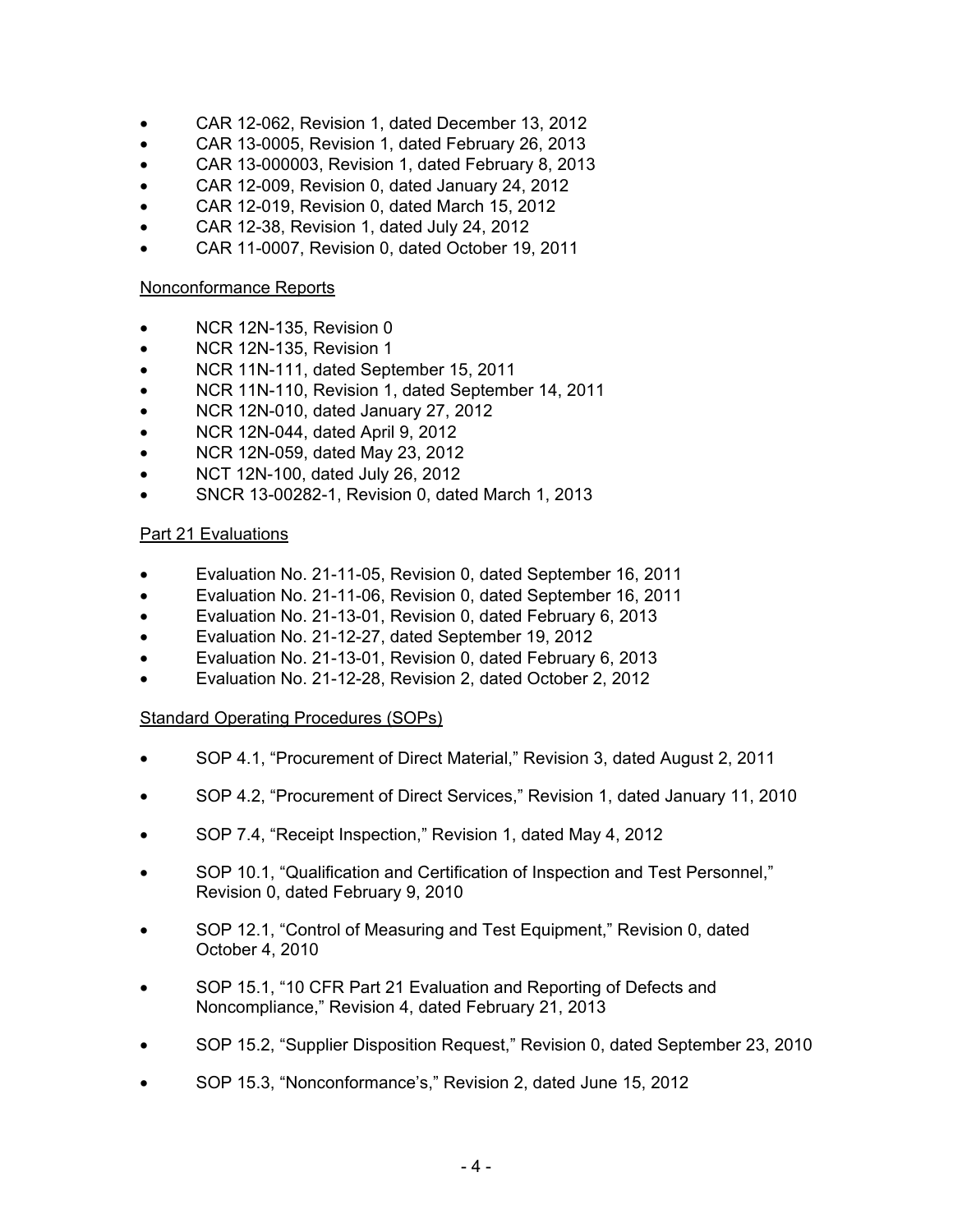- CAR 12-062, Revision 1, dated December 13, 2012
- CAR 13-0005, Revision 1, dated February 26, 2013
- CAR 13-000003, Revision 1, dated February 8, 2013
- CAR 12-009, Revision 0, dated January 24, 2012
- CAR 12-019, Revision 0, dated March 15, 2012
- CAR 12-38, Revision 1, dated July 24, 2012
- CAR 11-0007, Revision 0, dated October 19, 2011

### Nonconformance Reports

- NCR 12N-135, Revision 0
- NCR 12N-135, Revision 1
- NCR 11N-111, dated September 15, 2011
- NCR 11N-110, Revision 1, dated September 14, 2011
- NCR 12N-010, dated January 27, 2012
- NCR 12N-044, dated April 9, 2012
- NCR 12N-059, dated May 23, 2012
- NCT 12N-100, dated July 26, 2012
- SNCR 13-00282-1, Revision 0, dated March 1, 2013

# Part 21 Evaluations

- Evaluation No. 21-11-05, Revision 0, dated September 16, 2011
- Evaluation No. 21-11-06, Revision 0, dated September 16, 2011
- Evaluation No. 21-13-01, Revision 0, dated February 6, 2013
- Evaluation No. 21-12-27, dated September 19, 2012
- Evaluation No. 21-13-01, Revision 0, dated February 6, 2013
- Evaluation No. 21-12-28, Revision 2, dated October 2, 2012

# Standard Operating Procedures (SOPs)

- SOP 4.1, "Procurement of Direct Material," Revision 3, dated August 2, 2011
- SOP 4.2, "Procurement of Direct Services," Revision 1, dated January 11, 2010
- SOP 7.4, "Receipt Inspection," Revision 1, dated May 4, 2012
- SOP 10.1, "Qualification and Certification of Inspection and Test Personnel," Revision 0, dated February 9, 2010
- SOP 12.1, "Control of Measuring and Test Equipment," Revision 0, dated October 4, 2010
- SOP 15.1, "10 CFR Part 21 Evaluation and Reporting of Defects and Noncompliance," Revision 4, dated February 21, 2013
- SOP 15.2, "Supplier Disposition Request," Revision 0, dated September 23, 2010
- SOP 15.3, "Nonconformance's," Revision 2, dated June 15, 2012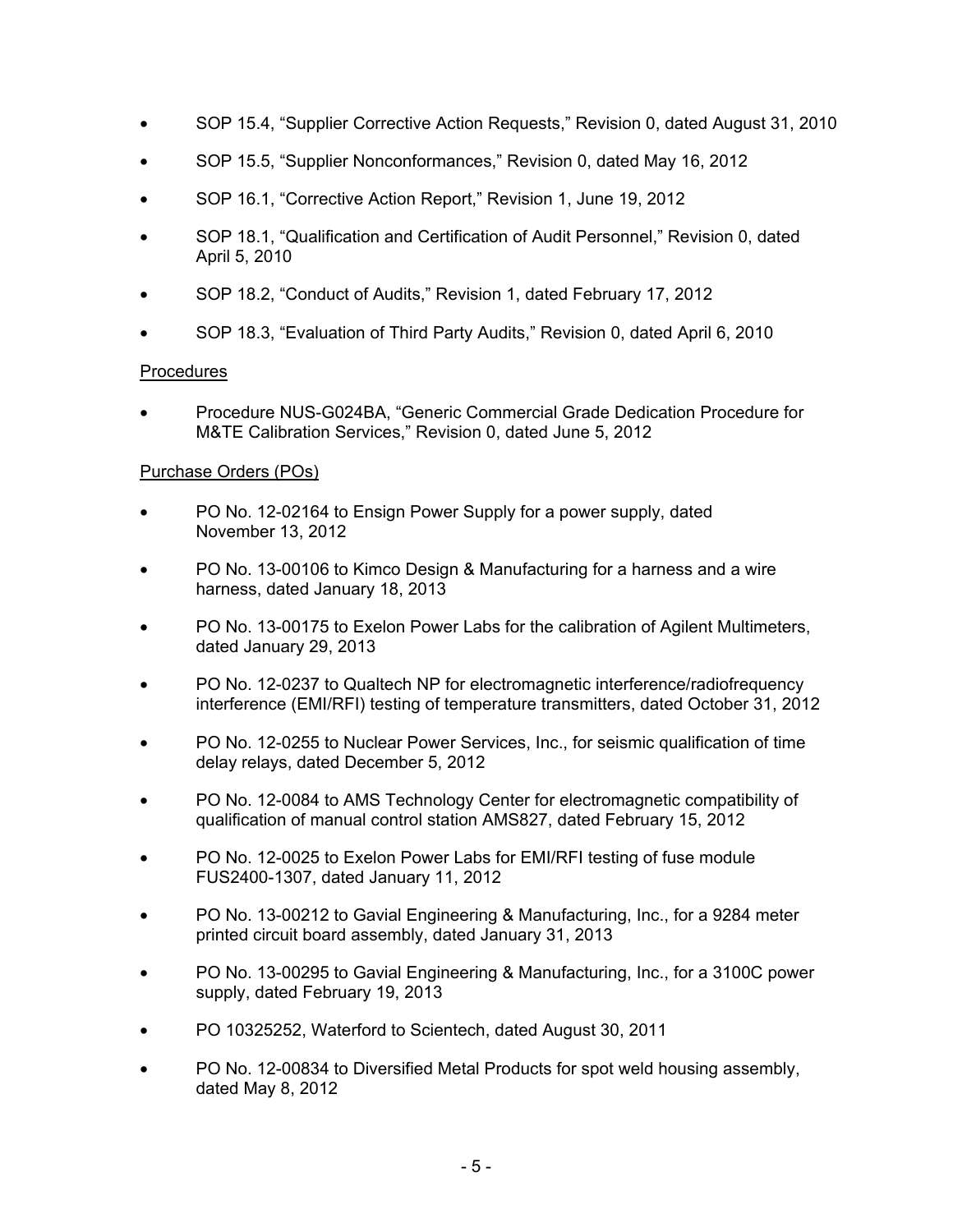- SOP 15.4, "Supplier Corrective Action Requests," Revision 0, dated August 31, 2010
- SOP 15.5, "Supplier Nonconformances," Revision 0, dated May 16, 2012
- SOP 16.1, "Corrective Action Report," Revision 1, June 19, 2012
- SOP 18.1, "Qualification and Certification of Audit Personnel," Revision 0, dated April 5, 2010
- SOP 18.2, "Conduct of Audits," Revision 1, dated February 17, 2012
- SOP 18.3, "Evaluation of Third Party Audits," Revision 0, dated April 6, 2010

# Procedures

• Procedure NUS-G024BA, "Generic Commercial Grade Dedication Procedure for M&TE Calibration Services," Revision 0, dated June 5, 2012

### Purchase Orders (POs)

- PO No. 12-02164 to Ensign Power Supply for a power supply, dated November 13, 2012
- PO No. 13-00106 to Kimco Design & Manufacturing for a harness and a wire harness, dated January 18, 2013
- PO No. 13-00175 to Exelon Power Labs for the calibration of Agilent Multimeters, dated January 29, 2013
- PO No. 12-0237 to Qualtech NP for electromagnetic interference/radiofrequency interference (EMI/RFI) testing of temperature transmitters, dated October 31, 2012
- PO No. 12-0255 to Nuclear Power Services, Inc., for seismic qualification of time delay relays, dated December 5, 2012
- PO No. 12-0084 to AMS Technology Center for electromagnetic compatibility of qualification of manual control station AMS827, dated February 15, 2012
- PO No. 12-0025 to Exelon Power Labs for EMI/RFI testing of fuse module FUS2400-1307, dated January 11, 2012
- PO No. 13-00212 to Gavial Engineering & Manufacturing, Inc., for a 9284 meter printed circuit board assembly, dated January 31, 2013
- PO No. 13-00295 to Gavial Engineering & Manufacturing, Inc., for a 3100C power supply, dated February 19, 2013
- PO 10325252, Waterford to Scientech, dated August 30, 2011
- PO No. 12-00834 to Diversified Metal Products for spot weld housing assembly, dated May 8, 2012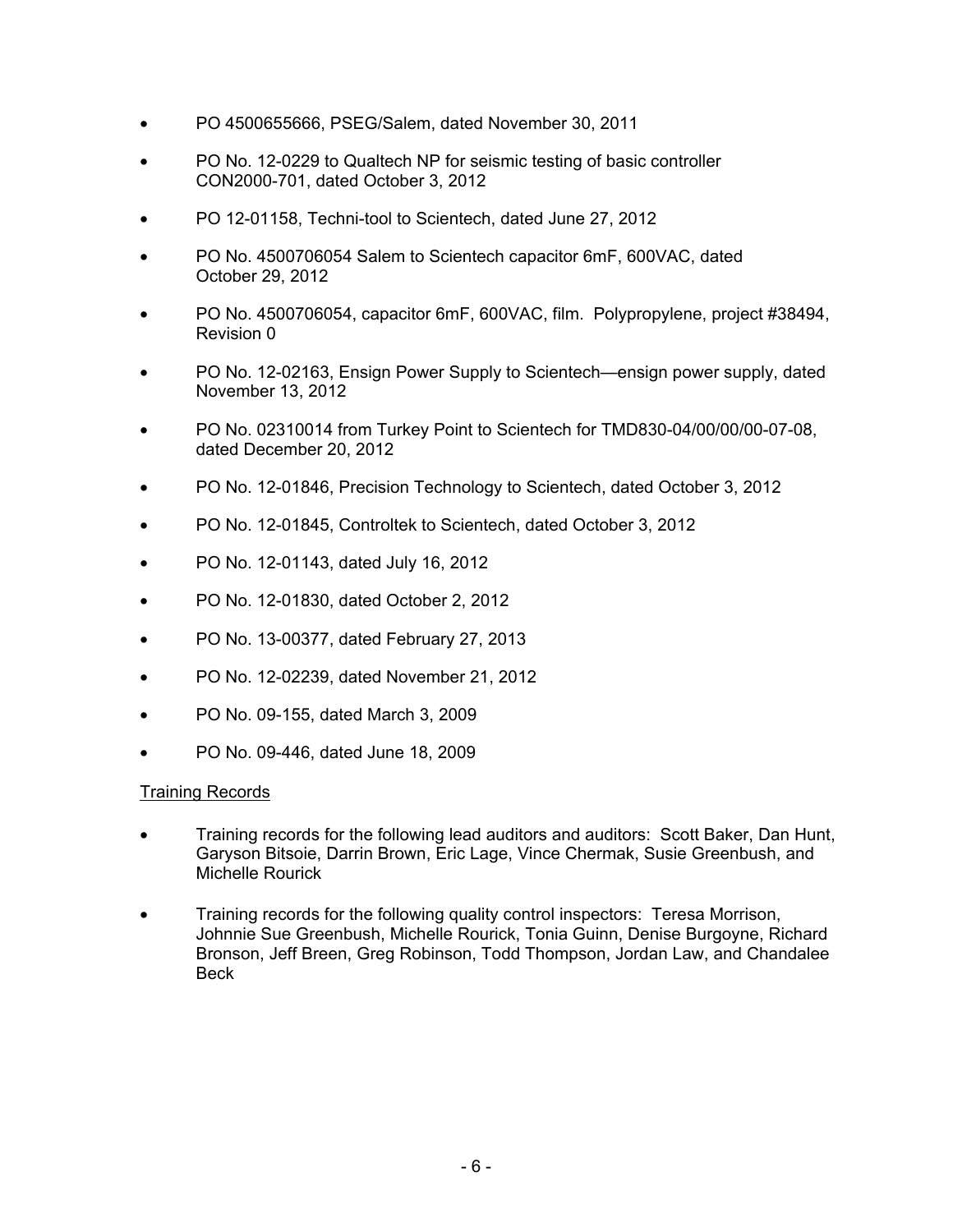- PO 4500655666, PSEG/Salem, dated November 30, 2011
- PO No. 12-0229 to Qualtech NP for seismic testing of basic controller CON2000-701, dated October 3, 2012
- PO 12-01158, Techni-tool to Scientech, dated June 27, 2012
- PO No. 4500706054 Salem to Scientech capacitor 6mF, 600VAC, dated October 29, 2012
- PO No. 4500706054, capacitor 6mF, 600VAC, film. Polypropylene, project #38494, Revision 0
- PO No. 12-02163, Ensign Power Supply to Scientech—ensign power supply, dated November 13, 2012
- PO No. 02310014 from Turkey Point to Scientech for TMD830-04/00/00/00-07-08, dated December 20, 2012
- PO No. 12-01846, Precision Technology to Scientech, dated October 3, 2012
- PO No. 12-01845, Controltek to Scientech, dated October 3, 2012
- PO No. 12-01143, dated July 16, 2012
- PO No. 12-01830, dated October 2, 2012
- PO No. 13-00377, dated February 27, 2013
- PO No. 12-02239, dated November 21, 2012
- PO No. 09-155, dated March 3, 2009
- PO No. 09-446, dated June 18, 2009

# Training Records

- Training records for the following lead auditors and auditors: Scott Baker, Dan Hunt, Garyson Bitsoie, Darrin Brown, Eric Lage, Vince Chermak, Susie Greenbush, and Michelle Rourick
- Training records for the following quality control inspectors: Teresa Morrison, Johnnie Sue Greenbush, Michelle Rourick, Tonia Guinn, Denise Burgoyne, Richard Bronson, Jeff Breen, Greg Robinson, Todd Thompson, Jordan Law, and Chandalee Beck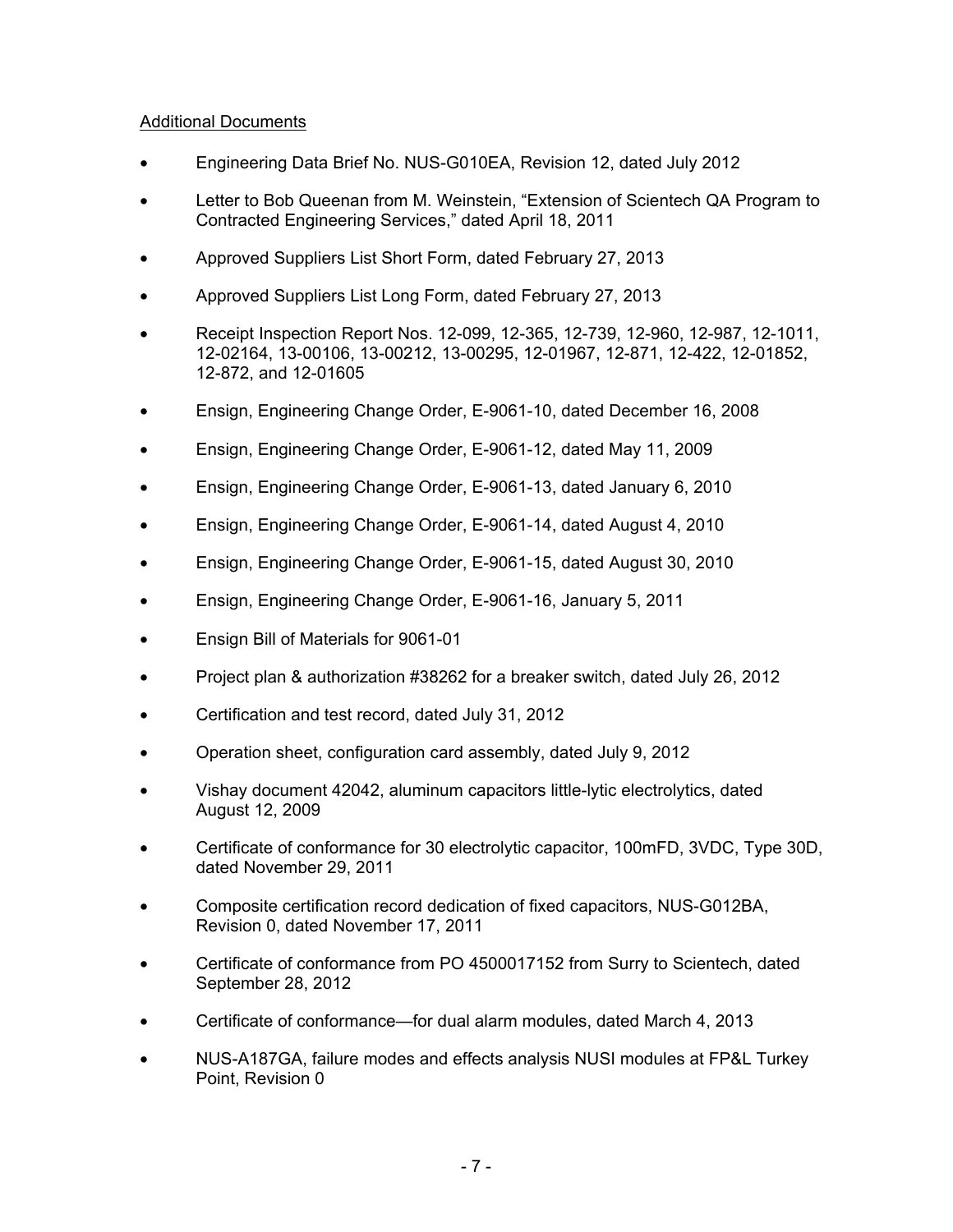# Additional Documents

- Engineering Data Brief No. NUS-G010EA, Revision 12, dated July 2012
- Letter to Bob Queenan from M. Weinstein, "Extension of Scientech QA Program to Contracted Engineering Services," dated April 18, 2011
- Approved Suppliers List Short Form, dated February 27, 2013
- Approved Suppliers List Long Form, dated February 27, 2013
- Receipt Inspection Report Nos. 12-099, 12-365, 12-739, 12-960, 12-987, 12-1011, 12-02164, 13-00106, 13-00212, 13-00295, 12-01967, 12-871, 12-422, 12-01852, 12-872, and 12-01605
- Ensign, Engineering Change Order, E-9061-10, dated December 16, 2008
- Ensign, Engineering Change Order, E-9061-12, dated May 11, 2009
- Ensign, Engineering Change Order, E-9061-13, dated January 6, 2010
- Ensign, Engineering Change Order, E-9061-14, dated August 4, 2010
- Ensign, Engineering Change Order, E-9061-15, dated August 30, 2010
- Ensign, Engineering Change Order, E-9061-16, January 5, 2011
- Ensign Bill of Materials for 9061-01
- Project plan & authorization #38262 for a breaker switch, dated July 26, 2012
- Certification and test record, dated July 31, 2012
- Operation sheet, configuration card assembly, dated July 9, 2012
- Vishay document 42042, aluminum capacitors little-lytic electrolytics, dated August 12, 2009
- Certificate of conformance for 30 electrolytic capacitor, 100mFD, 3VDC, Type 30D, dated November 29, 2011
- Composite certification record dedication of fixed capacitors, NUS-G012BA, Revision 0, dated November 17, 2011
- Certificate of conformance from PO 4500017152 from Surry to Scientech, dated September 28, 2012
- Certificate of conformance—for dual alarm modules, dated March 4, 2013
- NUS-A187GA, failure modes and effects analysis NUSI modules at FP&L Turkey Point, Revision 0